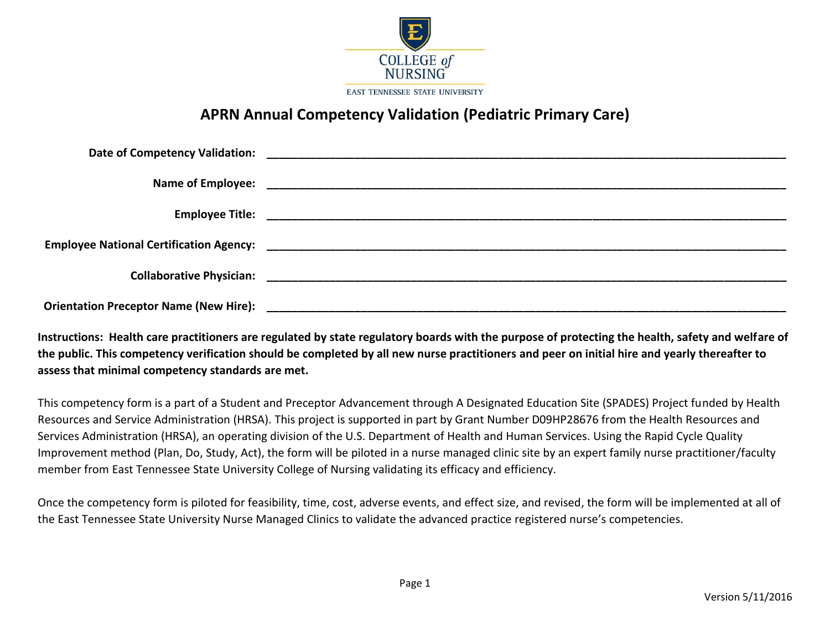

# **APRN Annual Competency Validation (Pediatric Primary Care)**

**Instructions: Health care practitioners are regulated by state regulatory boards with the purpose of protecting the health, safety and welfare of the public. This competency verification should be completed by all new nurse practitioners and peer on initial hire and yearly thereafter to assess that minimal competency standards are met.**

This competency form is a part of a Student and Preceptor Advancement through A Designated Education Site (SPADES) Project funded by Health Resources and Service Administration (HRSA). This project is supported in part by Grant Number D09HP28676 from the Health Resources and Services Administration (HRSA), an operating division of the U.S. Department of Health and Human Services. Using the Rapid Cycle Quality Improvement method (Plan, Do, Study, Act), the form will be piloted in a nurse managed clinic site by an expert family nurse practitioner/faculty member from East Tennessee State University College of Nursing validating its efficacy and efficiency.

Once the competency form is piloted for feasibility, time, cost, adverse events, and effect size, and revised, the form will be implemented at all of the East Tennessee State University Nurse Managed Clinics to validate the advanced practice registered nurse's competencies.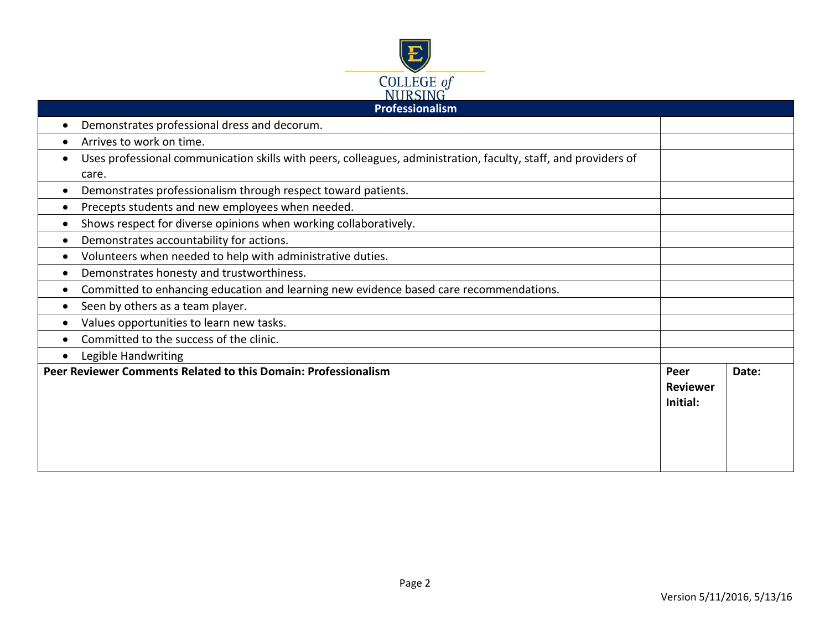

| Professionalism                                                                                                 |  |       |  |
|-----------------------------------------------------------------------------------------------------------------|--|-------|--|
| Demonstrates professional dress and decorum.                                                                    |  |       |  |
| Arrives to work on time.                                                                                        |  |       |  |
| Uses professional communication skills with peers, colleagues, administration, faculty, staff, and providers of |  |       |  |
| care.                                                                                                           |  |       |  |
| Demonstrates professionalism through respect toward patients.                                                   |  |       |  |
| Precepts students and new employees when needed.                                                                |  |       |  |
| Shows respect for diverse opinions when working collaboratively.                                                |  |       |  |
| Demonstrates accountability for actions.                                                                        |  |       |  |
| Volunteers when needed to help with administrative duties.                                                      |  |       |  |
| Demonstrates honesty and trustworthiness.                                                                       |  |       |  |
| Committed to enhancing education and learning new evidence based care recommendations.                          |  |       |  |
| Seen by others as a team player.                                                                                |  |       |  |
| Values opportunities to learn new tasks.                                                                        |  |       |  |
| Committed to the success of the clinic.                                                                         |  |       |  |
| Legible Handwriting                                                                                             |  |       |  |
| Peer Reviewer Comments Related to this Domain: Professionalism                                                  |  | Date: |  |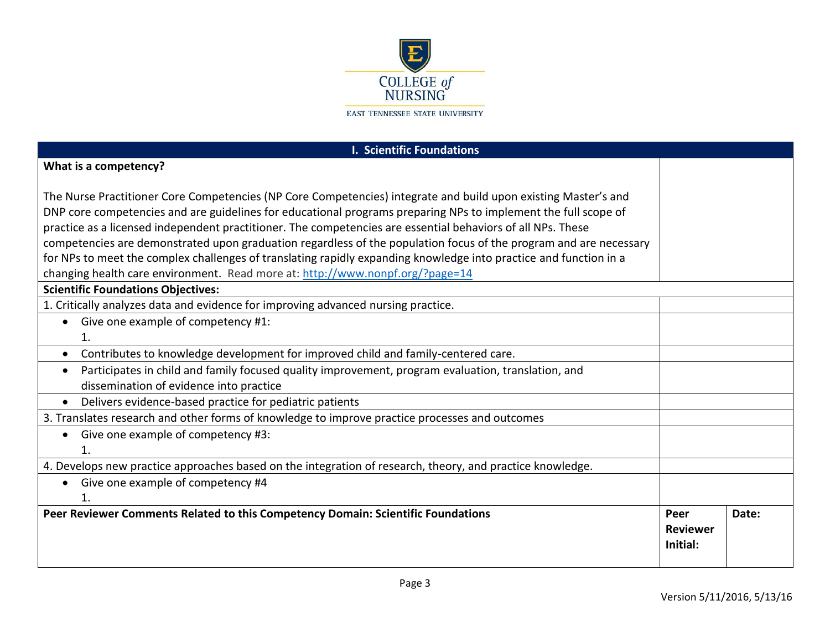

| <b>I. Scientific Foundations</b>                                                                                                                                                                                                                                                                                                                                                                                                                                                                                                                                                          |                                     |       |
|-------------------------------------------------------------------------------------------------------------------------------------------------------------------------------------------------------------------------------------------------------------------------------------------------------------------------------------------------------------------------------------------------------------------------------------------------------------------------------------------------------------------------------------------------------------------------------------------|-------------------------------------|-------|
| What is a competency?                                                                                                                                                                                                                                                                                                                                                                                                                                                                                                                                                                     |                                     |       |
| The Nurse Practitioner Core Competencies (NP Core Competencies) integrate and build upon existing Master's and<br>DNP core competencies and are guidelines for educational programs preparing NPs to implement the full scope of<br>practice as a licensed independent practitioner. The competencies are essential behaviors of all NPs. These<br>competencies are demonstrated upon graduation regardless of the population focus of the program and are necessary<br>for NPs to meet the complex challenges of translating rapidly expanding knowledge into practice and function in a |                                     |       |
| changing health care environment. Read more at: http://www.nonpf.org/?page=14                                                                                                                                                                                                                                                                                                                                                                                                                                                                                                             |                                     |       |
| <b>Scientific Foundations Objectives:</b><br>1. Critically analyzes data and evidence for improving advanced nursing practice.<br>Give one example of competency #1:                                                                                                                                                                                                                                                                                                                                                                                                                      |                                     |       |
| $\mathbf{1}$ .<br>Contributes to knowledge development for improved child and family-centered care.<br>$\bullet$                                                                                                                                                                                                                                                                                                                                                                                                                                                                          |                                     |       |
| Participates in child and family focused quality improvement, program evaluation, translation, and<br>dissemination of evidence into practice                                                                                                                                                                                                                                                                                                                                                                                                                                             |                                     |       |
| Delivers evidence-based practice for pediatric patients<br>$\bullet$                                                                                                                                                                                                                                                                                                                                                                                                                                                                                                                      |                                     |       |
| 3. Translates research and other forms of knowledge to improve practice processes and outcomes                                                                                                                                                                                                                                                                                                                                                                                                                                                                                            |                                     |       |
| Give one example of competency #3:                                                                                                                                                                                                                                                                                                                                                                                                                                                                                                                                                        |                                     |       |
| 4. Develops new practice approaches based on the integration of research, theory, and practice knowledge.                                                                                                                                                                                                                                                                                                                                                                                                                                                                                 |                                     |       |
| Give one example of competency #4                                                                                                                                                                                                                                                                                                                                                                                                                                                                                                                                                         |                                     |       |
| Peer Reviewer Comments Related to this Competency Domain: Scientific Foundations                                                                                                                                                                                                                                                                                                                                                                                                                                                                                                          | Peer<br><b>Reviewer</b><br>Initial: | Date: |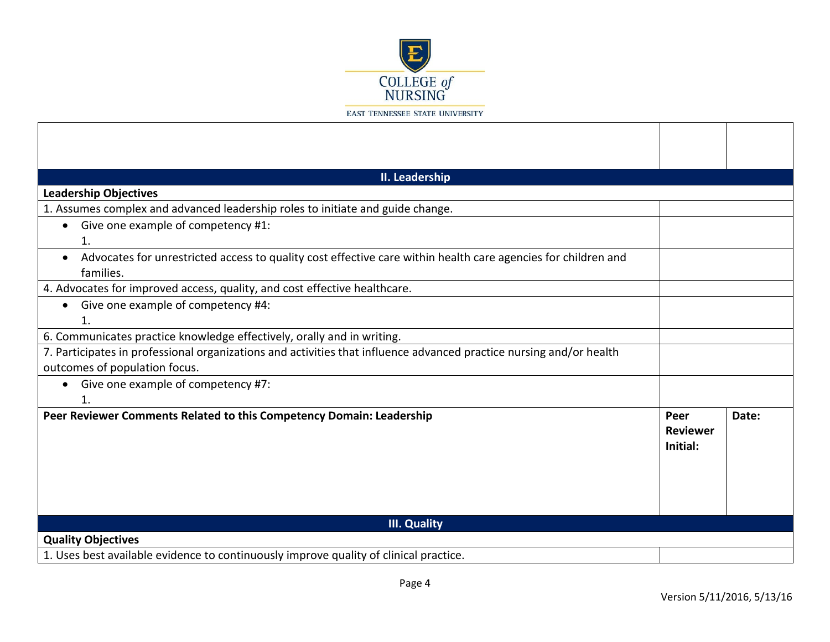

| II. Leadership                                                                                                                          |                                     |       |
|-----------------------------------------------------------------------------------------------------------------------------------------|-------------------------------------|-------|
| <b>Leadership Objectives</b>                                                                                                            |                                     |       |
| 1. Assumes complex and advanced leadership roles to initiate and guide change.                                                          |                                     |       |
| Give one example of competency #1:<br>$\bullet$<br>1.                                                                                   |                                     |       |
| Advocates for unrestricted access to quality cost effective care within health care agencies for children and<br>$\bullet$<br>families. |                                     |       |
| 4. Advocates for improved access, quality, and cost effective healthcare.                                                               |                                     |       |
| Give one example of competency #4:<br>$\bullet$<br>1.                                                                                   |                                     |       |
| 6. Communicates practice knowledge effectively, orally and in writing.                                                                  |                                     |       |
| 7. Participates in professional organizations and activities that influence advanced practice nursing and/or health                     |                                     |       |
| outcomes of population focus.                                                                                                           |                                     |       |
| Give one example of competency #7:<br>$\mathbf{1}$                                                                                      |                                     |       |
| Peer Reviewer Comments Related to this Competency Domain: Leadership                                                                    | Peer<br><b>Reviewer</b><br>Initial: | Date: |
| <b>III. Quality</b>                                                                                                                     |                                     |       |
| <b>Quality Objectives</b>                                                                                                               |                                     |       |
| 1. Uses best available evidence to continuously improve quality of clinical practice.                                                   |                                     |       |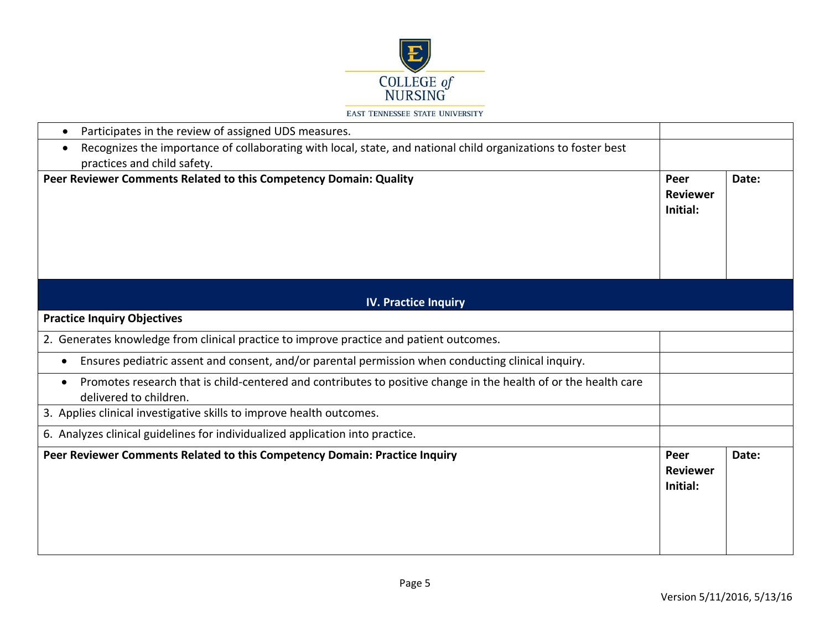

| Participates in the review of assigned UDS measures.<br>$\bullet$                                                                                      |                                     |       |
|--------------------------------------------------------------------------------------------------------------------------------------------------------|-------------------------------------|-------|
| Recognizes the importance of collaborating with local, state, and national child organizations to foster best<br>$\bullet$                             |                                     |       |
| practices and child safety.                                                                                                                            |                                     |       |
| Peer Reviewer Comments Related to this Competency Domain: Quality                                                                                      | Peer<br><b>Reviewer</b><br>Initial: | Date: |
| <b>IV. Practice Inquiry</b>                                                                                                                            |                                     |       |
| <b>Practice Inquiry Objectives</b>                                                                                                                     |                                     |       |
| 2. Generates knowledge from clinical practice to improve practice and patient outcomes.                                                                |                                     |       |
| Ensures pediatric assent and consent, and/or parental permission when conducting clinical inquiry.<br>$\bullet$                                        |                                     |       |
| Promotes research that is child-centered and contributes to positive change in the health of or the health care<br>$\bullet$<br>delivered to children. |                                     |       |
| 3. Applies clinical investigative skills to improve health outcomes.                                                                                   |                                     |       |
| 6. Analyzes clinical guidelines for individualized application into practice.                                                                          |                                     |       |
| Peer Reviewer Comments Related to this Competency Domain: Practice Inquiry                                                                             | Peer<br><b>Reviewer</b><br>Initial: | Date: |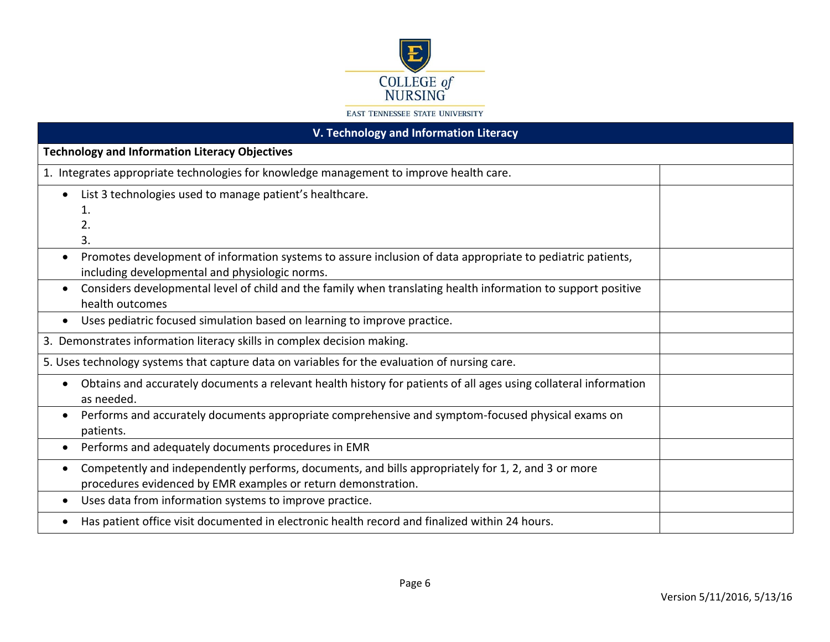

| V. Technology and Information Literacy                                                                                                                                    |  |  |
|---------------------------------------------------------------------------------------------------------------------------------------------------------------------------|--|--|
| <b>Technology and Information Literacy Objectives</b>                                                                                                                     |  |  |
| 1. Integrates appropriate technologies for knowledge management to improve health care.                                                                                   |  |  |
| List 3 technologies used to manage patient's healthcare.                                                                                                                  |  |  |
| 1.<br>2.                                                                                                                                                                  |  |  |
| 3.                                                                                                                                                                        |  |  |
| Promotes development of information systems to assure inclusion of data appropriate to pediatric patients,<br>$\bullet$<br>including developmental and physiologic norms. |  |  |
| Considers developmental level of child and the family when translating health information to support positive<br>health outcomes                                          |  |  |
| Uses pediatric focused simulation based on learning to improve practice.                                                                                                  |  |  |
| 3. Demonstrates information literacy skills in complex decision making.                                                                                                   |  |  |
| 5. Uses technology systems that capture data on variables for the evaluation of nursing care.                                                                             |  |  |
| Obtains and accurately documents a relevant health history for patients of all ages using collateral information<br>$\bullet$<br>as needed.                               |  |  |
| Performs and accurately documents appropriate comprehensive and symptom-focused physical exams on<br>patients.                                                            |  |  |
| Performs and adequately documents procedures in EMR<br>$\bullet$                                                                                                          |  |  |
| Competently and independently performs, documents, and bills appropriately for 1, 2, and 3 or more<br>procedures evidenced by EMR examples or return demonstration.       |  |  |
| Uses data from information systems to improve practice.<br>$\bullet$                                                                                                      |  |  |
| Has patient office visit documented in electronic health record and finalized within 24 hours.                                                                            |  |  |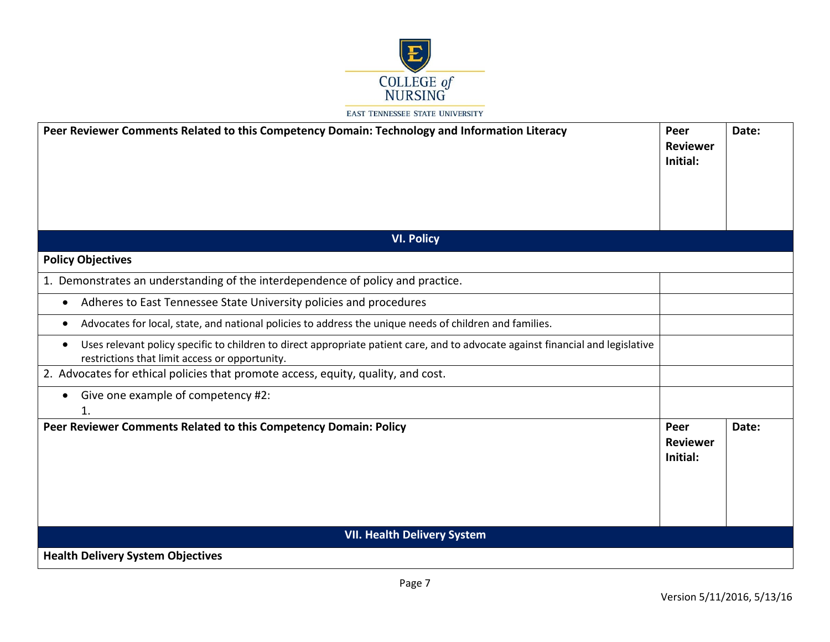

| Peer Reviewer Comments Related to this Competency Domain: Technology and Information Literacy                                                                                                  | Peer<br><b>Reviewer</b><br>Initial: | Date: |
|------------------------------------------------------------------------------------------------------------------------------------------------------------------------------------------------|-------------------------------------|-------|
| <b>VI. Policy</b>                                                                                                                                                                              |                                     |       |
| <b>Policy Objectives</b>                                                                                                                                                                       |                                     |       |
| 1. Demonstrates an understanding of the interdependence of policy and practice.                                                                                                                |                                     |       |
| Adheres to East Tennessee State University policies and procedures<br>$\bullet$                                                                                                                |                                     |       |
| Advocates for local, state, and national policies to address the unique needs of children and families.<br>٠                                                                                   |                                     |       |
| Uses relevant policy specific to children to direct appropriate patient care, and to advocate against financial and legislative<br>$\bullet$<br>restrictions that limit access or opportunity. |                                     |       |
| 2. Advocates for ethical policies that promote access, equity, quality, and cost.                                                                                                              |                                     |       |
| Give one example of competency #2:<br>$\bullet$<br>$\mathbf{1}$ .                                                                                                                              |                                     |       |
| Peer Reviewer Comments Related to this Competency Domain: Policy                                                                                                                               | Peer<br><b>Reviewer</b><br>Initial: | Date: |
| <b>VII. Health Delivery System</b>                                                                                                                                                             |                                     |       |
| <b>Health Delivery System Objectives</b>                                                                                                                                                       |                                     |       |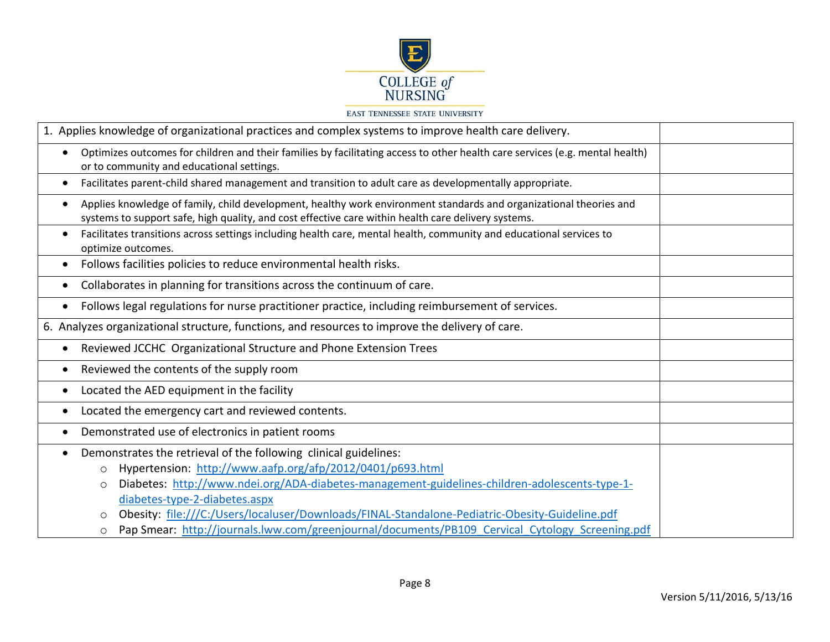

| 1. Applies knowledge of organizational practices and complex systems to improve health care delivery.                                                                                                                                                                                                                                                                                              |  |
|----------------------------------------------------------------------------------------------------------------------------------------------------------------------------------------------------------------------------------------------------------------------------------------------------------------------------------------------------------------------------------------------------|--|
| Optimizes outcomes for children and their families by facilitating access to other health care services (e.g. mental health)<br>$\bullet$<br>or to community and educational settings.                                                                                                                                                                                                             |  |
| Facilitates parent-child shared management and transition to adult care as developmentally appropriate.<br>$\bullet$                                                                                                                                                                                                                                                                               |  |
| Applies knowledge of family, child development, healthy work environment standards and organizational theories and<br>$\bullet$<br>systems to support safe, high quality, and cost effective care within health care delivery systems.                                                                                                                                                             |  |
| Facilitates transitions across settings including health care, mental health, community and educational services to<br>$\bullet$<br>optimize outcomes.                                                                                                                                                                                                                                             |  |
| Follows facilities policies to reduce environmental health risks.<br>$\bullet$                                                                                                                                                                                                                                                                                                                     |  |
| Collaborates in planning for transitions across the continuum of care.<br>$\bullet$                                                                                                                                                                                                                                                                                                                |  |
| Follows legal regulations for nurse practitioner practice, including reimbursement of services.<br>$\bullet$                                                                                                                                                                                                                                                                                       |  |
| 6. Analyzes organizational structure, functions, and resources to improve the delivery of care.                                                                                                                                                                                                                                                                                                    |  |
| Reviewed JCCHC Organizational Structure and Phone Extension Trees<br>$\bullet$                                                                                                                                                                                                                                                                                                                     |  |
| Reviewed the contents of the supply room<br>٠                                                                                                                                                                                                                                                                                                                                                      |  |
| Located the AED equipment in the facility<br>$\bullet$                                                                                                                                                                                                                                                                                                                                             |  |
| Located the emergency cart and reviewed contents.<br>$\bullet$                                                                                                                                                                                                                                                                                                                                     |  |
| Demonstrated use of electronics in patient rooms<br>$\bullet$                                                                                                                                                                                                                                                                                                                                      |  |
| Demonstrates the retrieval of the following clinical guidelines:<br>Hypertension: http://www.aafp.org/afp/2012/0401/p693.html<br>$\circ$<br>Diabetes: http://www.ndei.org/ADA-diabetes-management-guidelines-children-adolescents-type-1-<br>$\circ$<br>diabetes-type-2-diabetes.aspx<br>Obesity: file:///C:/Users/localuser/Downloads/FINAL-Standalone-Pediatric-Obesity-Guideline.pdf<br>$\circ$ |  |
| Pap Smear: http://journals.lww.com/greenjournal/documents/PB109 Cervical Cytology Screening.pdf<br>$\circ$                                                                                                                                                                                                                                                                                         |  |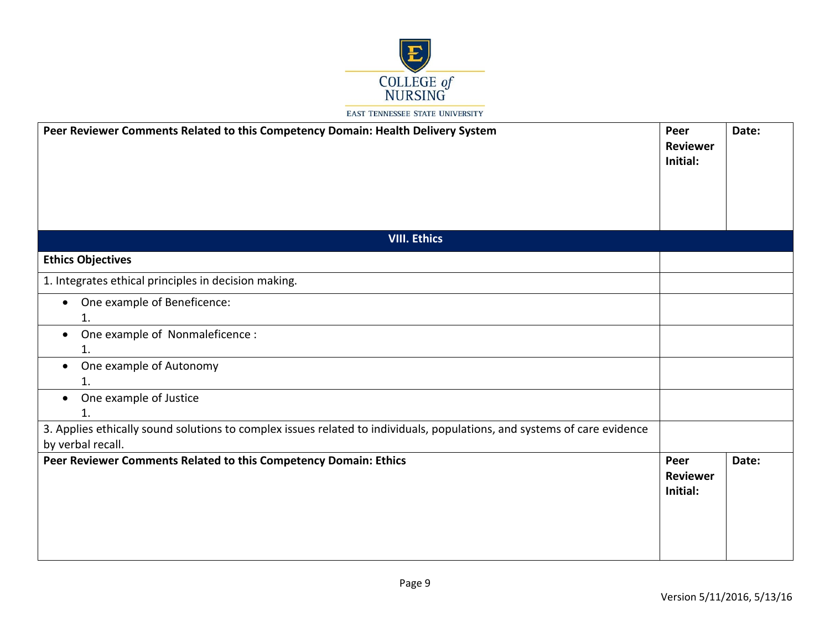

| Peer Reviewer Comments Related to this Competency Domain: Health Delivery System                                                              | Peer<br><b>Reviewer</b><br>Initial: | Date: |
|-----------------------------------------------------------------------------------------------------------------------------------------------|-------------------------------------|-------|
| <b>VIII. Ethics</b>                                                                                                                           |                                     |       |
| <b>Ethics Objectives</b>                                                                                                                      |                                     |       |
| 1. Integrates ethical principles in decision making.                                                                                          |                                     |       |
| One example of Beneficence:<br>$\bullet$<br>1.                                                                                                |                                     |       |
| One example of Nonmaleficence :<br>$\bullet$<br>1.                                                                                            |                                     |       |
| One example of Autonomy<br>$\bullet$<br>1.                                                                                                    |                                     |       |
| One example of Justice<br>1.                                                                                                                  |                                     |       |
| 3. Applies ethically sound solutions to complex issues related to individuals, populations, and systems of care evidence<br>by verbal recall. |                                     |       |
| Peer Reviewer Comments Related to this Competency Domain: Ethics                                                                              | Peer<br><b>Reviewer</b><br>Initial: | Date: |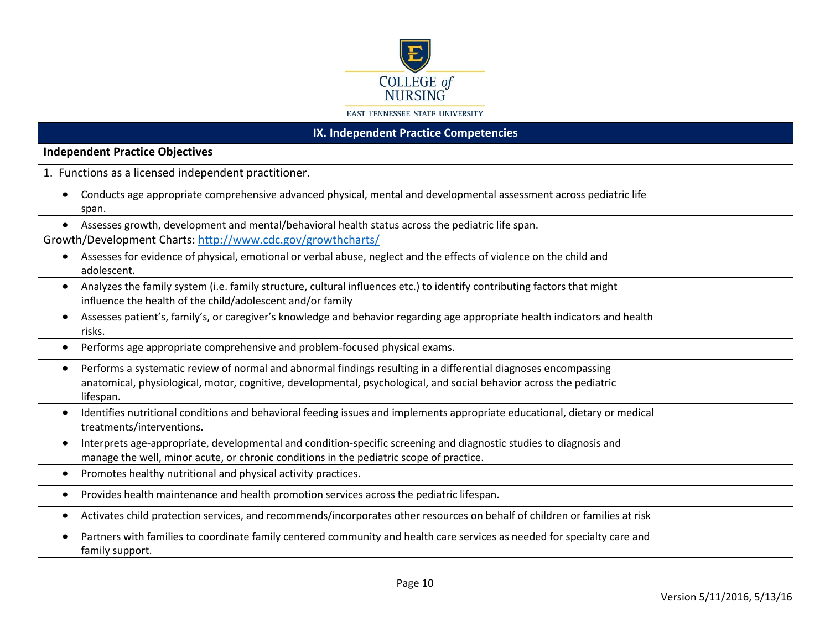

| IX. Independent Practice Competencies                                                                                                                                                                                                                            |  |  |
|------------------------------------------------------------------------------------------------------------------------------------------------------------------------------------------------------------------------------------------------------------------|--|--|
| <b>Independent Practice Objectives</b>                                                                                                                                                                                                                           |  |  |
| 1. Functions as a licensed independent practitioner.                                                                                                                                                                                                             |  |  |
| Conducts age appropriate comprehensive advanced physical, mental and developmental assessment across pediatric life<br>span.                                                                                                                                     |  |  |
| Assesses growth, development and mental/behavioral health status across the pediatric life span.<br>$\bullet$<br>Growth/Development Charts: http://www.cdc.gov/growthcharts/                                                                                     |  |  |
| Assesses for evidence of physical, emotional or verbal abuse, neglect and the effects of violence on the child and<br>$\bullet$<br>adolescent.                                                                                                                   |  |  |
| Analyzes the family system (i.e. family structure, cultural influences etc.) to identify contributing factors that might<br>$\bullet$<br>influence the health of the child/adolescent and/or family                                                              |  |  |
| Assesses patient's, family's, or caregiver's knowledge and behavior regarding age appropriate health indicators and health<br>$\bullet$<br>risks.                                                                                                                |  |  |
| Performs age appropriate comprehensive and problem-focused physical exams.<br>$\bullet$                                                                                                                                                                          |  |  |
| Performs a systematic review of normal and abnormal findings resulting in a differential diagnoses encompassing<br>$\bullet$<br>anatomical, physiological, motor, cognitive, developmental, psychological, and social behavior across the pediatric<br>lifespan. |  |  |
| Identifies nutritional conditions and behavioral feeding issues and implements appropriate educational, dietary or medical<br>$\bullet$<br>treatments/interventions.                                                                                             |  |  |
| Interprets age-appropriate, developmental and condition-specific screening and diagnostic studies to diagnosis and<br>$\bullet$<br>manage the well, minor acute, or chronic conditions in the pediatric scope of practice.                                       |  |  |
| Promotes healthy nutritional and physical activity practices.<br>$\bullet$                                                                                                                                                                                       |  |  |
| Provides health maintenance and health promotion services across the pediatric lifespan.                                                                                                                                                                         |  |  |
| Activates child protection services, and recommends/incorporates other resources on behalf of children or families at risk                                                                                                                                       |  |  |
| Partners with families to coordinate family centered community and health care services as needed for specialty care and<br>family support.                                                                                                                      |  |  |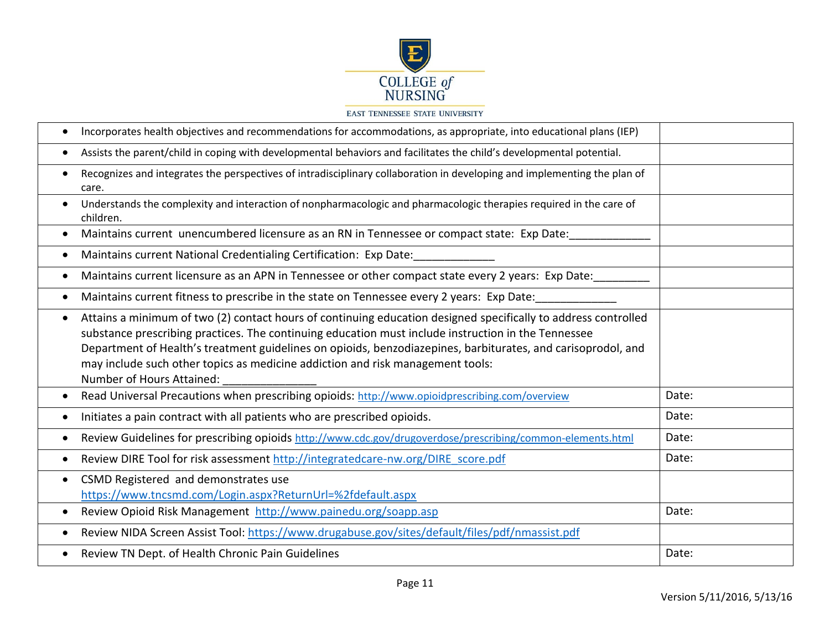

|           | Incorporates health objectives and recommendations for accommodations, as appropriate, into educational plans (IEP)                                                                                                                                                                                                                                                                                                                                  |       |
|-----------|------------------------------------------------------------------------------------------------------------------------------------------------------------------------------------------------------------------------------------------------------------------------------------------------------------------------------------------------------------------------------------------------------------------------------------------------------|-------|
| $\bullet$ | Assists the parent/child in coping with developmental behaviors and facilitates the child's developmental potential.                                                                                                                                                                                                                                                                                                                                 |       |
| $\bullet$ | Recognizes and integrates the perspectives of intradisciplinary collaboration in developing and implementing the plan of<br>care.                                                                                                                                                                                                                                                                                                                    |       |
| $\bullet$ | Understands the complexity and interaction of nonpharmacologic and pharmacologic therapies required in the care of<br>children.                                                                                                                                                                                                                                                                                                                      |       |
| $\bullet$ | Maintains current unencumbered licensure as an RN in Tennessee or compact state: Exp Date:                                                                                                                                                                                                                                                                                                                                                           |       |
| $\bullet$ | Maintains current National Credentialing Certification: Exp Date:                                                                                                                                                                                                                                                                                                                                                                                    |       |
| $\bullet$ | Maintains current licensure as an APN in Tennessee or other compact state every 2 years: Exp Date:                                                                                                                                                                                                                                                                                                                                                   |       |
| $\bullet$ | Maintains current fitness to prescribe in the state on Tennessee every 2 years: Exp Date:                                                                                                                                                                                                                                                                                                                                                            |       |
| $\bullet$ | Attains a minimum of two (2) contact hours of continuing education designed specifically to address controlled<br>substance prescribing practices. The continuing education must include instruction in the Tennessee<br>Department of Health's treatment guidelines on opioids, benzodiazepines, barbiturates, and carisoprodol, and<br>may include such other topics as medicine addiction and risk management tools:<br>Number of Hours Attained: |       |
| $\bullet$ | Read Universal Precautions when prescribing opioids: http://www.opioidprescribing.com/overview                                                                                                                                                                                                                                                                                                                                                       | Date: |
| $\bullet$ | Initiates a pain contract with all patients who are prescribed opioids.                                                                                                                                                                                                                                                                                                                                                                              | Date: |
| $\bullet$ | Review Guidelines for prescribing opioids http://www.cdc.gov/drugoverdose/prescribing/common-elements.html                                                                                                                                                                                                                                                                                                                                           | Date: |
| $\bullet$ | Review DIRE Tool for risk assessment http://integratedcare-nw.org/DIRE score.pdf                                                                                                                                                                                                                                                                                                                                                                     | Date: |
| $\bullet$ | CSMD Registered and demonstrates use<br>https://www.tncsmd.com/Login.aspx?ReturnUrl=%2fdefault.aspx                                                                                                                                                                                                                                                                                                                                                  |       |
| $\bullet$ | Review Opioid Risk Management http://www.painedu.org/soapp.asp                                                                                                                                                                                                                                                                                                                                                                                       | Date: |
|           | Review NIDA Screen Assist Tool: https://www.drugabuse.gov/sites/default/files/pdf/nmassist.pdf                                                                                                                                                                                                                                                                                                                                                       |       |
| $\bullet$ | Review TN Dept. of Health Chronic Pain Guidelines                                                                                                                                                                                                                                                                                                                                                                                                    | Date: |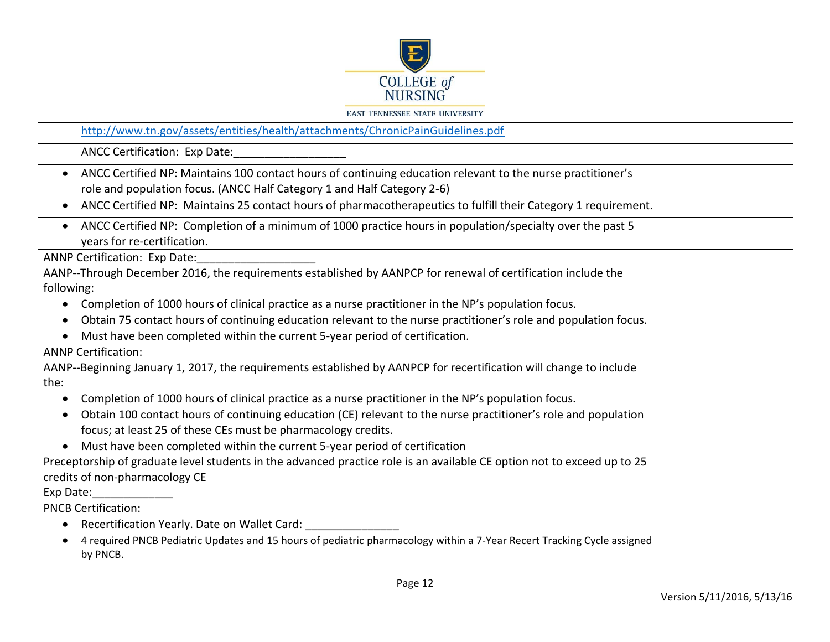

|  |  | <b>EAST TENNESSEE STATE UNIVERSITY</b> |  |
|--|--|----------------------------------------|--|
|  |  |                                        |  |

| http://www.tn.gov/assets/entities/health/attachments/ChronicPainGuidelines.pdf                                                                                                                      |
|-----------------------------------------------------------------------------------------------------------------------------------------------------------------------------------------------------|
| <b>ANCC Certification: Exp Date:</b>                                                                                                                                                                |
| ANCC Certified NP: Maintains 100 contact hours of continuing education relevant to the nurse practitioner's<br>$\bullet$<br>role and population focus. (ANCC Half Category 1 and Half Category 2-6) |
| ANCC Certified NP: Maintains 25 contact hours of pharmacotherapeutics to fulfill their Category 1 requirement.<br>$\bullet$                                                                         |
| ANCC Certified NP: Completion of a minimum of 1000 practice hours in population/specialty over the past 5<br>$\bullet$<br>years for re-certification.                                               |
| <b>ANNP Certification: Exp Date:</b>                                                                                                                                                                |
| AANP--Through December 2016, the requirements established by AANPCP for renewal of certification include the                                                                                        |
| following:                                                                                                                                                                                          |
| Completion of 1000 hours of clinical practice as a nurse practitioner in the NP's population focus.                                                                                                 |
| Obtain 75 contact hours of continuing education relevant to the nurse practitioner's role and population focus.<br>$\bullet$                                                                        |
| Must have been completed within the current 5-year period of certification.                                                                                                                         |
| <b>ANNP Certification:</b>                                                                                                                                                                          |
| AANP--Beginning January 1, 2017, the requirements established by AANPCP for recertification will change to include                                                                                  |
| the:                                                                                                                                                                                                |
| Completion of 1000 hours of clinical practice as a nurse practitioner in the NP's population focus.<br>$\bullet$                                                                                    |
| Obtain 100 contact hours of continuing education (CE) relevant to the nurse practitioner's role and population<br>$\bullet$                                                                         |
| focus; at least 25 of these CEs must be pharmacology credits.                                                                                                                                       |
| Must have been completed within the current 5-year period of certification                                                                                                                          |
| Preceptorship of graduate level students in the advanced practice role is an available CE option not to exceed up to 25                                                                             |
| credits of non-pharmacology CE                                                                                                                                                                      |
| Exp Date:                                                                                                                                                                                           |
| <b>PNCB Certification:</b>                                                                                                                                                                          |
| Recertification Yearly. Date on Wallet Card:                                                                                                                                                        |
| 4 required PNCB Pediatric Updates and 15 hours of pediatric pharmacology within a 7-Year Recert Tracking Cycle assigned<br>by PNCB.                                                                 |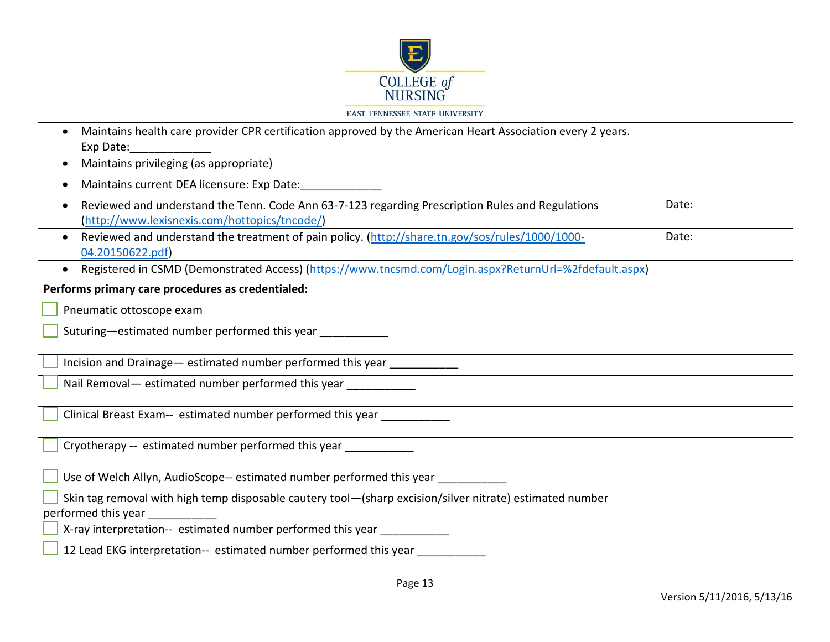

| Maintains health care provider CPR certification approved by the American Heart Association every 2 years.<br>Exp Date:                           |       |
|---------------------------------------------------------------------------------------------------------------------------------------------------|-------|
| Maintains privileging (as appropriate)<br>$\bullet$                                                                                               |       |
| Maintains current DEA licensure: Exp Date:                                                                                                        |       |
| Reviewed and understand the Tenn. Code Ann 63-7-123 regarding Prescription Rules and Regulations<br>(http://www.lexisnexis.com/hottopics/tncode/) | Date: |
| Reviewed and understand the treatment of pain policy. (http://share.tn.gov/sos/rules/1000/1000-<br>$\bullet$<br>04.20150622.pdf)                  | Date: |
| Registered in CSMD (Demonstrated Access) (https://www.tncsmd.com/Login.aspx?ReturnUrl=%2fdefault.aspx)<br>$\bullet$                               |       |
| Performs primary care procedures as credentialed:                                                                                                 |       |
| Pneumatic ottoscope exam                                                                                                                          |       |
| Suturing—estimated number performed this year                                                                                                     |       |
| Incision and Drainage - estimated number performed this year ___________                                                                          |       |
| Nail Removal- estimated number performed this year ___________                                                                                    |       |
| Clinical Breast Exam-- estimated number performed this year _                                                                                     |       |
| Cryotherapy -- estimated number performed this year ____________                                                                                  |       |
| Use of Welch Allyn, AudioScope-- estimated number performed this year _                                                                           |       |
| Skin tag removal with high temp disposable cautery tool-(sharp excision/silver nitrate) estimated number<br>performed this year                   |       |
| X-ray interpretation-- estimated number performed this year ___________                                                                           |       |
| 12 Lead EKG interpretation-- estimated number performed this year _________                                                                       |       |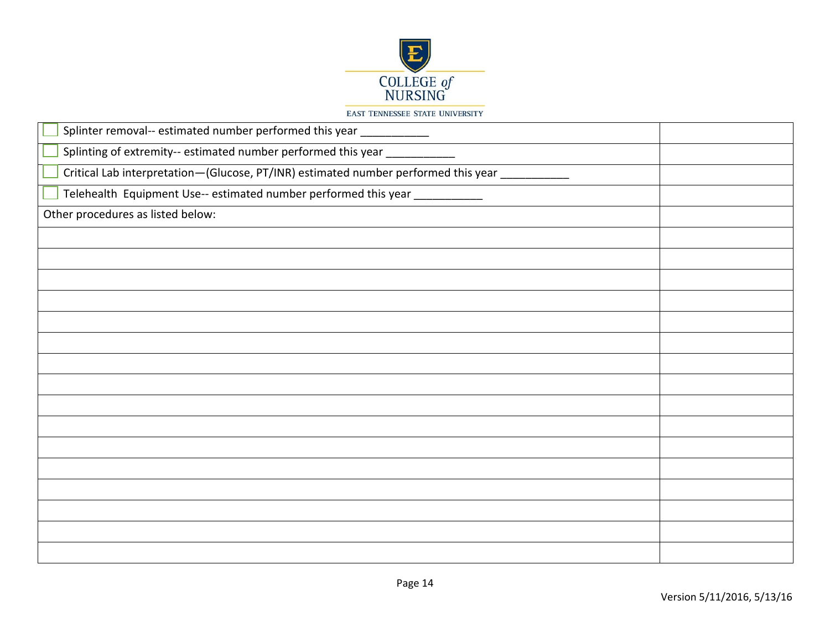

| Splinter removal-- estimated number performed this year ____________               |  |
|------------------------------------------------------------------------------------|--|
| Splinting of extremity-- estimated number performed this year ___________          |  |
| Critical Lab interpretation-(Glucose, PT/INR) estimated number performed this year |  |
| Telehealth Equipment Use-- estimated number performed this year ____________       |  |
| Other procedures as listed below:                                                  |  |
|                                                                                    |  |
|                                                                                    |  |
|                                                                                    |  |
|                                                                                    |  |
|                                                                                    |  |
|                                                                                    |  |
|                                                                                    |  |
|                                                                                    |  |
|                                                                                    |  |
|                                                                                    |  |
|                                                                                    |  |
|                                                                                    |  |
|                                                                                    |  |
|                                                                                    |  |
|                                                                                    |  |
|                                                                                    |  |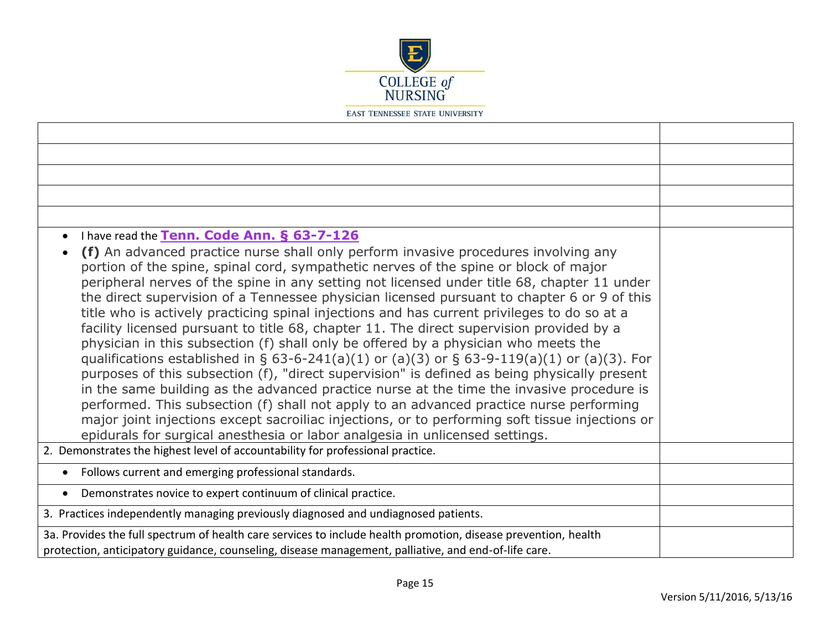

| I have read the Tenn. Code Ann. § 63-7-126<br>$\bullet$<br>(f) An advanced practice nurse shall only perform invasive procedures involving any<br>portion of the spine, spinal cord, sympathetic nerves of the spine or block of major<br>peripheral nerves of the spine in any setting not licensed under title 68, chapter 11 under<br>the direct supervision of a Tennessee physician licensed pursuant to chapter 6 or 9 of this<br>title who is actively practicing spinal injections and has current privileges to do so at a<br>facility licensed pursuant to title 68, chapter 11. The direct supervision provided by a<br>physician in this subsection (f) shall only be offered by a physician who meets the<br>qualifications established in § 63-6-241(a)(1) or (a)(3) or § 63-9-119(a)(1) or (a)(3). For<br>purposes of this subsection (f), "direct supervision" is defined as being physically present<br>in the same building as the advanced practice nurse at the time the invasive procedure is<br>performed. This subsection (f) shall not apply to an advanced practice nurse performing<br>major joint injections except sacroiliac injections, or to performing soft tissue injections or<br>epidurals for surgical anesthesia or labor analgesia in unlicensed settings.<br>2. Demonstrates the highest level of accountability for professional practice. |  |
|------------------------------------------------------------------------------------------------------------------------------------------------------------------------------------------------------------------------------------------------------------------------------------------------------------------------------------------------------------------------------------------------------------------------------------------------------------------------------------------------------------------------------------------------------------------------------------------------------------------------------------------------------------------------------------------------------------------------------------------------------------------------------------------------------------------------------------------------------------------------------------------------------------------------------------------------------------------------------------------------------------------------------------------------------------------------------------------------------------------------------------------------------------------------------------------------------------------------------------------------------------------------------------------------------------------------------------------------------------------------------------|--|
|                                                                                                                                                                                                                                                                                                                                                                                                                                                                                                                                                                                                                                                                                                                                                                                                                                                                                                                                                                                                                                                                                                                                                                                                                                                                                                                                                                                    |  |
| Follows current and emerging professional standards.                                                                                                                                                                                                                                                                                                                                                                                                                                                                                                                                                                                                                                                                                                                                                                                                                                                                                                                                                                                                                                                                                                                                                                                                                                                                                                                               |  |
| Demonstrates novice to expert continuum of clinical practice.                                                                                                                                                                                                                                                                                                                                                                                                                                                                                                                                                                                                                                                                                                                                                                                                                                                                                                                                                                                                                                                                                                                                                                                                                                                                                                                      |  |
| 3. Practices independently managing previously diagnosed and undiagnosed patients.                                                                                                                                                                                                                                                                                                                                                                                                                                                                                                                                                                                                                                                                                                                                                                                                                                                                                                                                                                                                                                                                                                                                                                                                                                                                                                 |  |
| 3a. Provides the full spectrum of health care services to include health promotion, disease prevention, health<br>protection, anticipatory guidance, counseling, disease management, palliative, and end-of-life care.                                                                                                                                                                                                                                                                                                                                                                                                                                                                                                                                                                                                                                                                                                                                                                                                                                                                                                                                                                                                                                                                                                                                                             |  |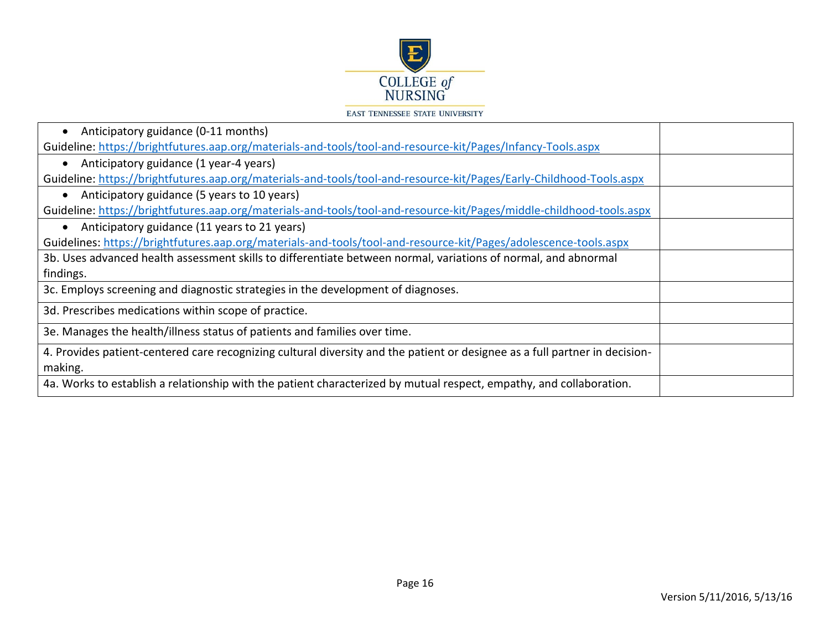

| Guideline: https://brightfutures.aap.org/materials-and-tools/tool-and-resource-kit/Pages/Infancy-Tools.aspx                 |  |
|-----------------------------------------------------------------------------------------------------------------------------|--|
|                                                                                                                             |  |
| Anticipatory guidance (1 year-4 years)                                                                                      |  |
| Guideline: https://brightfutures.aap.org/materials-and-tools/tool-and-resource-kit/Pages/Early-Childhood-Tools.aspx         |  |
| Anticipatory guidance (5 years to 10 years)                                                                                 |  |
| Guideline: https://brightfutures.aap.org/materials-and-tools/tool-and-resource-kit/Pages/middle-childhood-tools.aspx        |  |
| Anticipatory guidance (11 years to 21 years)                                                                                |  |
| Guidelines: https://brightfutures.aap.org/materials-and-tools/tool-and-resource-kit/Pages/adolescence-tools.aspx            |  |
| 3b. Uses advanced health assessment skills to differentiate between normal, variations of normal, and abnormal              |  |
| findings.                                                                                                                   |  |
| 3c. Employs screening and diagnostic strategies in the development of diagnoses.                                            |  |
| 3d. Prescribes medications within scope of practice.                                                                        |  |
| 3e. Manages the health/illness status of patients and families over time.                                                   |  |
| 4. Provides patient-centered care recognizing cultural diversity and the patient or designee as a full partner in decision- |  |
| making.                                                                                                                     |  |
| 4a. Works to establish a relationship with the patient characterized by mutual respect, empathy, and collaboration.         |  |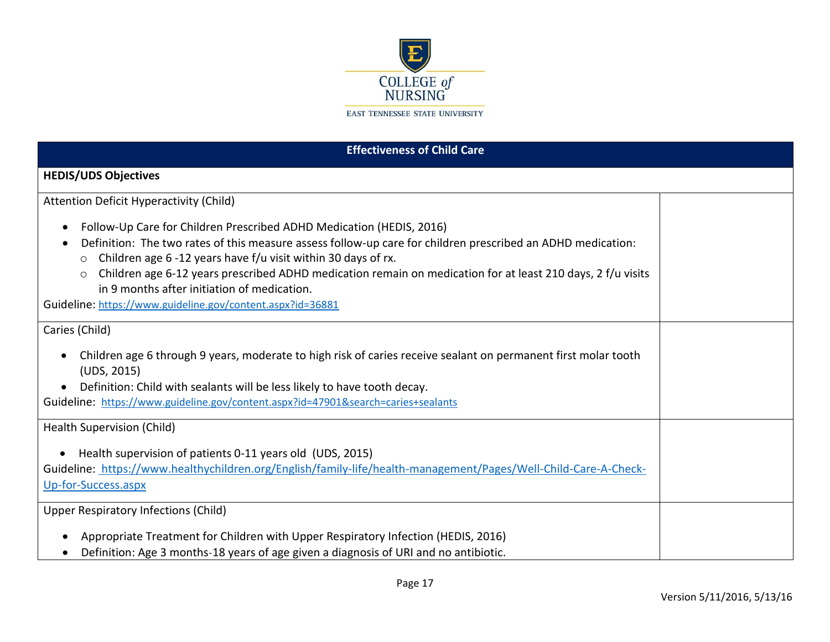

| <b>Effectiveness of Child Care</b>                                                                                                                                                                                                                                                                                                                                                                                                                                                                                  |  |  |
|---------------------------------------------------------------------------------------------------------------------------------------------------------------------------------------------------------------------------------------------------------------------------------------------------------------------------------------------------------------------------------------------------------------------------------------------------------------------------------------------------------------------|--|--|
| <b>HEDIS/UDS Objectives</b>                                                                                                                                                                                                                                                                                                                                                                                                                                                                                         |  |  |
| <b>Attention Deficit Hyperactivity (Child)</b>                                                                                                                                                                                                                                                                                                                                                                                                                                                                      |  |  |
| Follow-Up Care for Children Prescribed ADHD Medication (HEDIS, 2016)<br>$\bullet$<br>Definition: The two rates of this measure assess follow-up care for children prescribed an ADHD medication:<br>Children age 6 -12 years have f/u visit within 30 days of rx.<br>$\circ$<br>Children age 6-12 years prescribed ADHD medication remain on medication for at least 210 days, 2 f/u visits<br>$\circ$<br>in 9 months after initiation of medication.<br>Guideline: https://www.guideline.gov/content.aspx?id=36881 |  |  |
| Caries (Child)                                                                                                                                                                                                                                                                                                                                                                                                                                                                                                      |  |  |
| Children age 6 through 9 years, moderate to high risk of caries receive sealant on permanent first molar tooth<br>$\bullet$<br>(UDS, 2015)<br>Definition: Child with sealants will be less likely to have tooth decay.<br>Guideline: https://www.guideline.gov/content.aspx?id=47901&search=caries+sealants                                                                                                                                                                                                         |  |  |
| Health Supervision (Child)                                                                                                                                                                                                                                                                                                                                                                                                                                                                                          |  |  |
| Health supervision of patients 0-11 years old (UDS, 2015)<br>$\bullet$<br>Guideline: https://www.healthychildren.org/English/family-life/health-management/Pages/Well-Child-Care-A-Check-<br>Up-for-Success.aspx                                                                                                                                                                                                                                                                                                    |  |  |
| <b>Upper Respiratory Infections (Child)</b>                                                                                                                                                                                                                                                                                                                                                                                                                                                                         |  |  |
| Appropriate Treatment for Children with Upper Respiratory Infection (HEDIS, 2016)<br>$\bullet$<br>Definition: Age 3 months-18 years of age given a diagnosis of URI and no antibiotic.                                                                                                                                                                                                                                                                                                                              |  |  |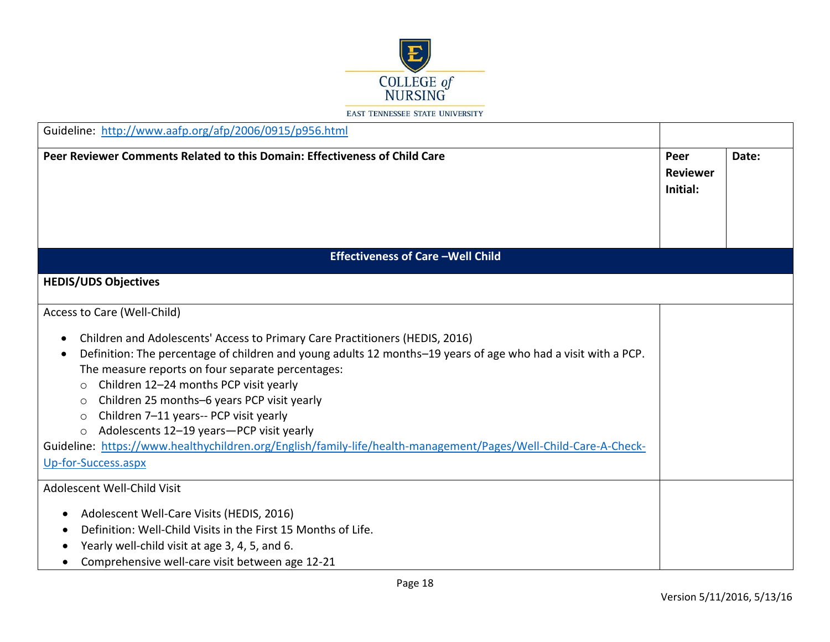

| Guideline: http://www.aafp.org/afp/2006/0915/p956.html                                                                                                                                                                                                                                                                                                                                                                                                                                                                                                                                                                  |                                     |       |
|-------------------------------------------------------------------------------------------------------------------------------------------------------------------------------------------------------------------------------------------------------------------------------------------------------------------------------------------------------------------------------------------------------------------------------------------------------------------------------------------------------------------------------------------------------------------------------------------------------------------------|-------------------------------------|-------|
| Peer Reviewer Comments Related to this Domain: Effectiveness of Child Care                                                                                                                                                                                                                                                                                                                                                                                                                                                                                                                                              | Peer<br><b>Reviewer</b><br>Initial: | Date: |
| <b>Effectiveness of Care-Well Child</b>                                                                                                                                                                                                                                                                                                                                                                                                                                                                                                                                                                                 |                                     |       |
| <b>HEDIS/UDS Objectives</b>                                                                                                                                                                                                                                                                                                                                                                                                                                                                                                                                                                                             |                                     |       |
| Access to Care (Well-Child)                                                                                                                                                                                                                                                                                                                                                                                                                                                                                                                                                                                             |                                     |       |
| Children and Adolescents' Access to Primary Care Practitioners (HEDIS, 2016)<br>Definition: The percentage of children and young adults 12 months-19 years of age who had a visit with a PCP.<br>The measure reports on four separate percentages:<br>Children 12-24 months PCP visit yearly<br>$\circ$<br>Children 25 months-6 years PCP visit yearly<br>$\circ$<br>Children 7-11 years-- PCP visit yearly<br>$\circ$<br>Adolescents 12-19 years-PCP visit yearly<br>$\circ$<br>Guideline: https://www.healthychildren.org/English/family-life/health-management/Pages/Well-Child-Care-A-Check-<br>Up-for-Success.aspx |                                     |       |
| Adolescent Well-Child Visit                                                                                                                                                                                                                                                                                                                                                                                                                                                                                                                                                                                             |                                     |       |
| Adolescent Well-Care Visits (HEDIS, 2016)<br>Definition: Well-Child Visits in the First 15 Months of Life.<br>Yearly well-child visit at age 3, 4, 5, and 6.<br>Comprehensive well-care visit between age 12-21                                                                                                                                                                                                                                                                                                                                                                                                         |                                     |       |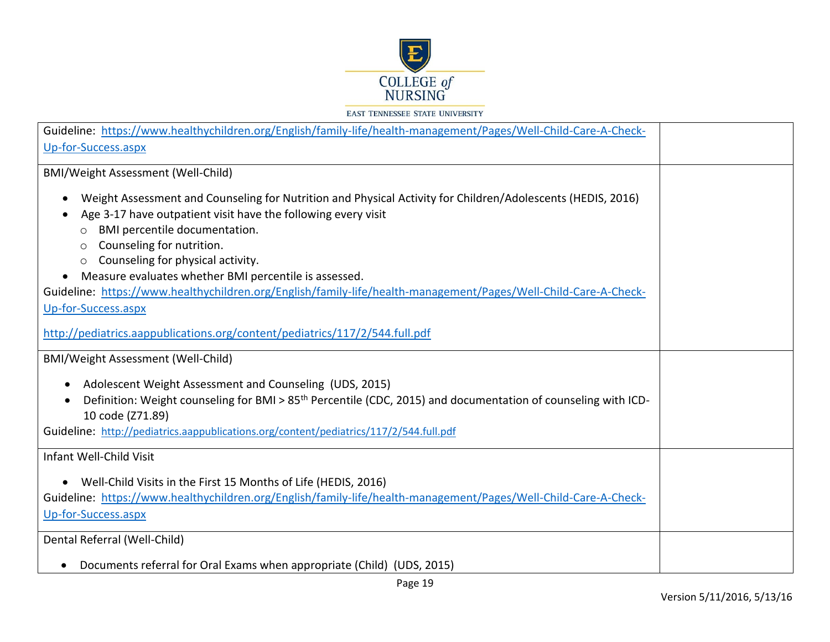

| Guideline: https://www.healthychildren.org/English/family-life/health-management/Pages/Well-Child-Care-A-Check-           |  |
|---------------------------------------------------------------------------------------------------------------------------|--|
| Up-for-Success.aspx                                                                                                       |  |
|                                                                                                                           |  |
| BMI/Weight Assessment (Well-Child)                                                                                        |  |
| Weight Assessment and Counseling for Nutrition and Physical Activity for Children/Adolescents (HEDIS, 2016)               |  |
| Age 3-17 have outpatient visit have the following every visit                                                             |  |
| BMI percentile documentation.<br>O                                                                                        |  |
| Counseling for nutrition.<br>$\circ$                                                                                      |  |
| Counseling for physical activity.<br>$\circ$                                                                              |  |
| Measure evaluates whether BMI percentile is assessed.<br>$\bullet$                                                        |  |
| Guideline: https://www.healthychildren.org/English/family-life/health-management/Pages/Well-Child-Care-A-Check-           |  |
| Up-for-Success.aspx                                                                                                       |  |
|                                                                                                                           |  |
| http://pediatrics.aappublications.org/content/pediatrics/117/2/544.full.pdf                                               |  |
|                                                                                                                           |  |
| BMI/Weight Assessment (Well-Child)                                                                                        |  |
| Adolescent Weight Assessment and Counseling (UDS, 2015)                                                                   |  |
| Definition: Weight counseling for BMI > 85 <sup>th</sup> Percentile (CDC, 2015) and documentation of counseling with ICD- |  |
| 10 code (Z71.89)                                                                                                          |  |
| Guideline: http://pediatrics.aappublications.org/content/pediatrics/117/2/544.full.pdf                                    |  |
|                                                                                                                           |  |
| Infant Well-Child Visit                                                                                                   |  |
| • Well-Child Visits in the First 15 Months of Life (HEDIS, 2016)                                                          |  |
| Guideline: https://www.healthychildren.org/English/family-life/health-management/Pages/Well-Child-Care-A-Check-           |  |
|                                                                                                                           |  |
| Up-for-Success.aspx                                                                                                       |  |
| Dental Referral (Well-Child)                                                                                              |  |
|                                                                                                                           |  |
| Documents referral for Oral Exams when appropriate (Child) (UDS, 2015)                                                    |  |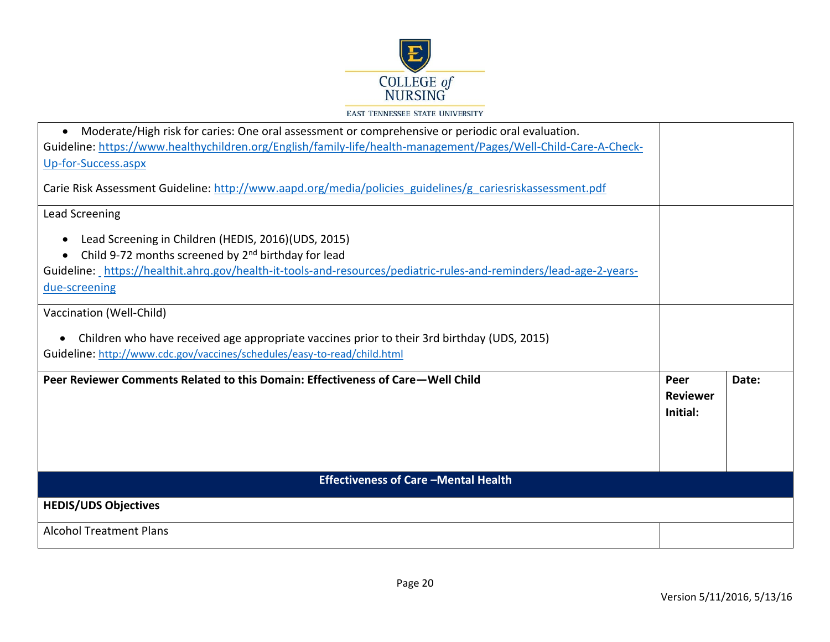

| Moderate/High risk for caries: One oral assessment or comprehensive or periodic oral evaluation.<br>$\bullet$                                                                                                                                                                           |                                     |       |
|-----------------------------------------------------------------------------------------------------------------------------------------------------------------------------------------------------------------------------------------------------------------------------------------|-------------------------------------|-------|
| Guideline: https://www.healthychildren.org/English/family-life/health-management/Pages/Well-Child-Care-A-Check-<br>Up-for-Success.aspx                                                                                                                                                  |                                     |       |
|                                                                                                                                                                                                                                                                                         |                                     |       |
| Carie Risk Assessment Guideline: http://www.aapd.org/media/policies_guidelines/g_cariesriskassessment.pdf                                                                                                                                                                               |                                     |       |
| Lead Screening                                                                                                                                                                                                                                                                          |                                     |       |
| Lead Screening in Children (HEDIS, 2016)(UDS, 2015)<br>$\bullet$<br>Child 9-72 months screened by 2 <sup>nd</sup> birthday for lead<br>$\bullet$<br>Guideline: https://healthit.ahrg.gov/health-it-tools-and-resources/pediatric-rules-and-reminders/lead-age-2-years-<br>due-screening |                                     |       |
| Vaccination (Well-Child)                                                                                                                                                                                                                                                                |                                     |       |
| Children who have received age appropriate vaccines prior to their 3rd birthday (UDS, 2015)<br>$\bullet$<br>Guideline: http://www.cdc.gov/vaccines/schedules/easy-to-read/child.html                                                                                                    |                                     |       |
| Peer Reviewer Comments Related to this Domain: Effectiveness of Care-Well Child                                                                                                                                                                                                         | Peer<br><b>Reviewer</b><br>Initial: | Date: |
| <b>Effectiveness of Care -Mental Health</b>                                                                                                                                                                                                                                             |                                     |       |
| <b>HEDIS/UDS Objectives</b>                                                                                                                                                                                                                                                             |                                     |       |
| <b>Alcohol Treatment Plans</b>                                                                                                                                                                                                                                                          |                                     |       |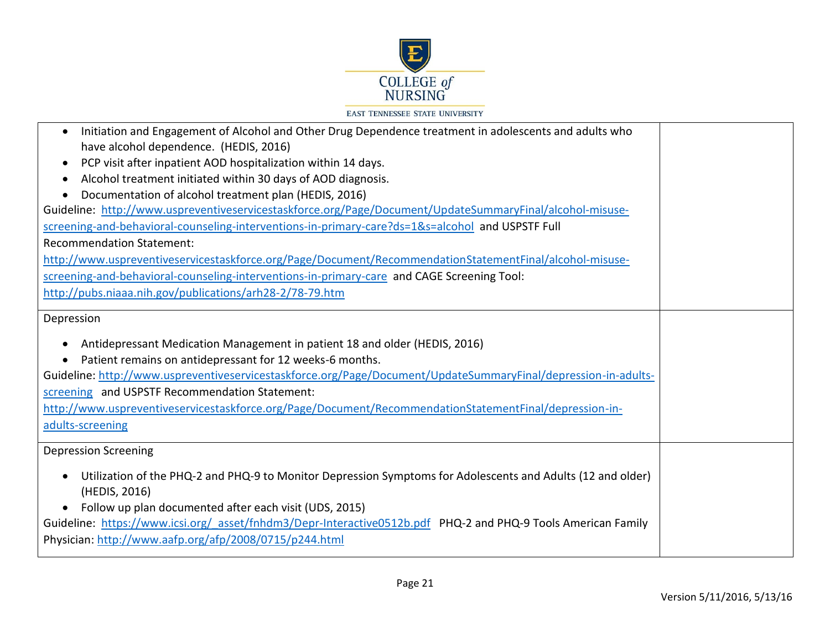

| Initiation and Engagement of Alcohol and Other Drug Dependence treatment in adolescents and adults who<br>$\bullet$<br>have alcohol dependence. (HEDIS, 2016)<br>PCP visit after inpatient AOD hospitalization within 14 days.<br>$\bullet$<br>Alcohol treatment initiated within 30 days of AOD diagnosis.<br>$\bullet$<br>Documentation of alcohol treatment plan (HEDIS, 2016)<br>$\bullet$                                           |  |
|------------------------------------------------------------------------------------------------------------------------------------------------------------------------------------------------------------------------------------------------------------------------------------------------------------------------------------------------------------------------------------------------------------------------------------------|--|
| Guideline: http://www.uspreventiveservicestaskforce.org/Page/Document/UpdateSummaryFinal/alcohol-misuse-                                                                                                                                                                                                                                                                                                                                 |  |
| screening-and-behavioral-counseling-interventions-in-primary-care?ds=1&s=alcohol and USPSTF Full                                                                                                                                                                                                                                                                                                                                         |  |
| <b>Recommendation Statement:</b>                                                                                                                                                                                                                                                                                                                                                                                                         |  |
| http://www.uspreventiveservicestaskforce.org/Page/Document/RecommendationStatementFinal/alcohol-misuse-                                                                                                                                                                                                                                                                                                                                  |  |
| screening-and-behavioral-counseling-interventions-in-primary-care and CAGE Screening Tool:                                                                                                                                                                                                                                                                                                                                               |  |
| http://pubs.niaaa.nih.gov/publications/arh28-2/78-79.htm                                                                                                                                                                                                                                                                                                                                                                                 |  |
| Depression                                                                                                                                                                                                                                                                                                                                                                                                                               |  |
| Antidepressant Medication Management in patient 18 and older (HEDIS, 2016)<br>Patient remains on antidepressant for 12 weeks-6 months.<br>Guideline: http://www.uspreventiveservicestaskforce.org/Page/Document/UpdateSummaryFinal/depression-in-adults-<br>screening and USPSTF Recommendation Statement:<br>http://www.uspreventiveservicestaskforce.org/Page/Document/RecommendationStatementFinal/depression-in-<br>adults-screening |  |
| <b>Depression Screening</b><br>Utilization of the PHQ-2 and PHQ-9 to Monitor Depression Symptoms for Adolescents and Adults (12 and older)<br>$\bullet$<br>(HEDIS, 2016)<br>Follow up plan documented after each visit (UDS, 2015)<br>$\bullet$<br>Guideline: https://www.icsi.org/ asset/fnhdm3/Depr-Interactive0512b.pdf PHQ-2 and PHQ-9 Tools American Family<br>Physician: http://www.aafp.org/afp/2008/0715/p244.html               |  |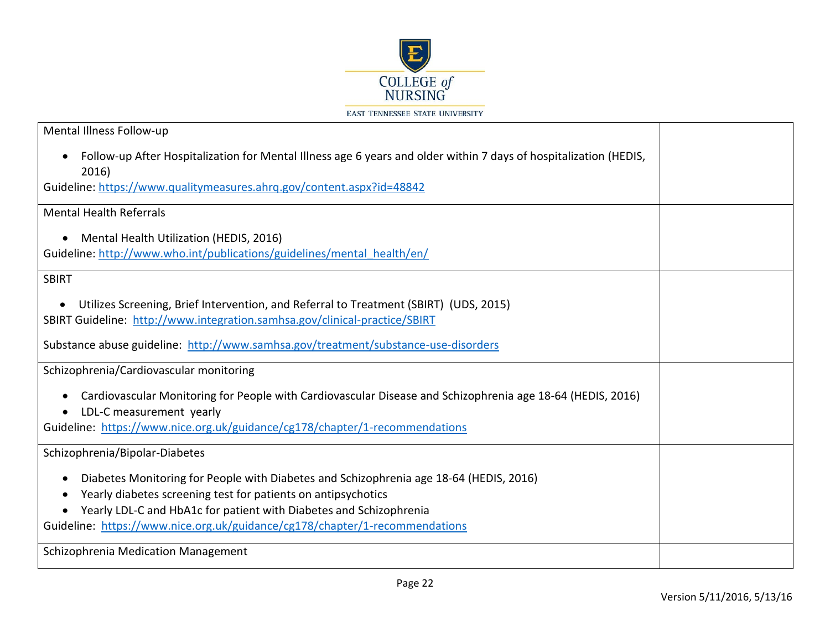

| <b>EAST TENNESSEE STATE UNIVERSITY</b> |  |  |
|----------------------------------------|--|--|
|----------------------------------------|--|--|

| Mental Illness Follow-up                                                                                                                                                                                                                                                                                                  |  |  |  |  |
|---------------------------------------------------------------------------------------------------------------------------------------------------------------------------------------------------------------------------------------------------------------------------------------------------------------------------|--|--|--|--|
| Follow-up After Hospitalization for Mental Illness age 6 years and older within 7 days of hospitalization (HEDIS,<br>$\bullet$<br>2016)                                                                                                                                                                                   |  |  |  |  |
| Guideline: https://www.qualitymeasures.ahrq.gov/content.aspx?id=48842                                                                                                                                                                                                                                                     |  |  |  |  |
| <b>Mental Health Referrals</b>                                                                                                                                                                                                                                                                                            |  |  |  |  |
| Mental Health Utilization (HEDIS, 2016)<br>$\bullet$<br>Guideline: http://www.who.int/publications/guidelines/mental_health/en/                                                                                                                                                                                           |  |  |  |  |
| <b>SBIRT</b>                                                                                                                                                                                                                                                                                                              |  |  |  |  |
| Utilizes Screening, Brief Intervention, and Referral to Treatment (SBIRT) (UDS, 2015)<br>$\bullet$<br>SBIRT Guideline: http://www.integration.samhsa.gov/clinical-practice/SBIRT                                                                                                                                          |  |  |  |  |
| Substance abuse guideline: http://www.samhsa.gov/treatment/substance-use-disorders                                                                                                                                                                                                                                        |  |  |  |  |
| Schizophrenia/Cardiovascular monitoring                                                                                                                                                                                                                                                                                   |  |  |  |  |
| Cardiovascular Monitoring for People with Cardiovascular Disease and Schizophrenia age 18-64 (HEDIS, 2016)<br>LDL-C measurement yearly                                                                                                                                                                                    |  |  |  |  |
| Guideline: https://www.nice.org.uk/guidance/cg178/chapter/1-recommendations                                                                                                                                                                                                                                               |  |  |  |  |
| Schizophrenia/Bipolar-Diabetes                                                                                                                                                                                                                                                                                            |  |  |  |  |
| Diabetes Monitoring for People with Diabetes and Schizophrenia age 18-64 (HEDIS, 2016)<br>$\bullet$<br>Yearly diabetes screening test for patients on antipsychotics<br>Yearly LDL-C and HbA1c for patient with Diabetes and Schizophrenia<br>Guideline: https://www.nice.org.uk/guidance/cg178/chapter/1-recommendations |  |  |  |  |
| Schizophrenia Medication Management                                                                                                                                                                                                                                                                                       |  |  |  |  |
|                                                                                                                                                                                                                                                                                                                           |  |  |  |  |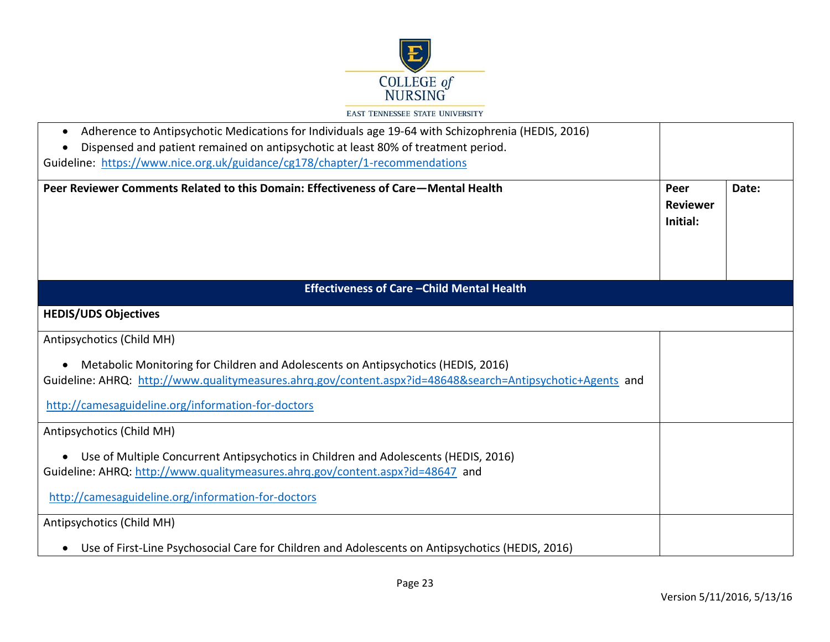

| Adherence to Antipsychotic Medications for Individuals age 19-64 with Schizophrenia (HEDIS, 2016)<br>$\bullet$<br>Dispensed and patient remained on antipsychotic at least 80% of treatment period. |                                     |       |
|-----------------------------------------------------------------------------------------------------------------------------------------------------------------------------------------------------|-------------------------------------|-------|
| Guideline: https://www.nice.org.uk/guidance/cg178/chapter/1-recommendations                                                                                                                         |                                     |       |
| Peer Reviewer Comments Related to this Domain: Effectiveness of Care—Mental Health                                                                                                                  | Peer<br><b>Reviewer</b><br>Initial: | Date: |
| Effectiveness of Care - Child Mental Health                                                                                                                                                         |                                     |       |
| <b>HEDIS/UDS Objectives</b>                                                                                                                                                                         |                                     |       |
| Antipsychotics (Child MH)                                                                                                                                                                           |                                     |       |
| Metabolic Monitoring for Children and Adolescents on Antipsychotics (HEDIS, 2016)<br>Guideline: AHRQ: http://www.qualitymeasures.ahrq.gov/content.aspx?id=48648&search=Antipsychotic+Agents and     |                                     |       |
| http://camesaguideline.org/information-for-doctors                                                                                                                                                  |                                     |       |
| Antipsychotics (Child MH)                                                                                                                                                                           |                                     |       |
| • Use of Multiple Concurrent Antipsychotics in Children and Adolescents (HEDIS, 2016)<br>Guideline: AHRQ: http://www.qualitymeasures.ahrq.gov/content.aspx?id=48647 and                             |                                     |       |
| http://camesaguideline.org/information-for-doctors                                                                                                                                                  |                                     |       |
| Antipsychotics (Child MH)                                                                                                                                                                           |                                     |       |
| Use of First-Line Psychosocial Care for Children and Adolescents on Antipsychotics (HEDIS, 2016)                                                                                                    |                                     |       |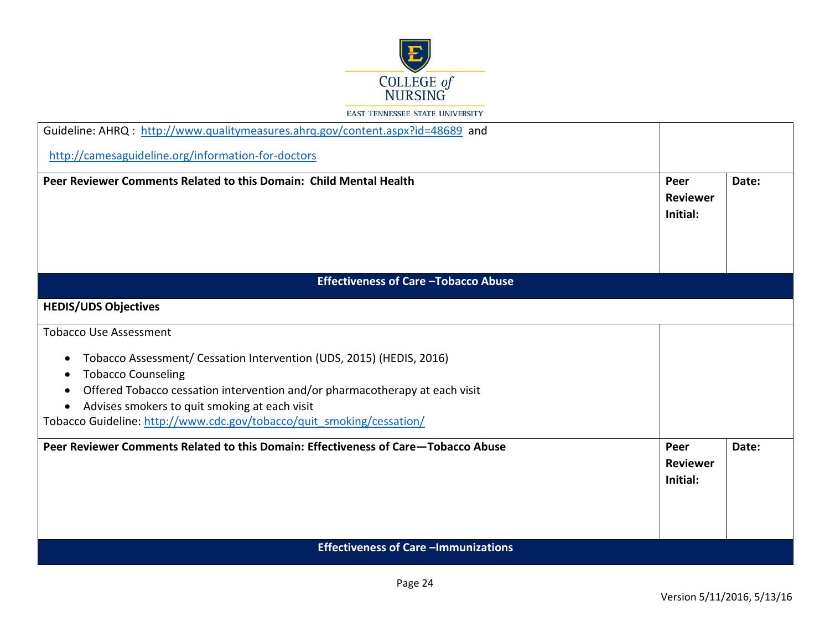

| Guideline: AHRQ: http://www.qualitymeasures.ahrq.gov/content.aspx?id=48689 and                                                            |                                     |       |
|-------------------------------------------------------------------------------------------------------------------------------------------|-------------------------------------|-------|
| http://camesaguideline.org/information-for-doctors                                                                                        |                                     |       |
| Peer Reviewer Comments Related to this Domain: Child Mental Health                                                                        | Peer<br><b>Reviewer</b><br>Initial: | Date: |
| <b>Effectiveness of Care - Tobacco Abuse</b>                                                                                              |                                     |       |
| <b>HEDIS/UDS Objectives</b>                                                                                                               |                                     |       |
| <b>Tobacco Use Assessment</b>                                                                                                             |                                     |       |
| Tobacco Assessment/ Cessation Intervention (UDS, 2015) (HEDIS, 2016)<br>$\bullet$<br><b>Tobacco Counseling</b><br>$\bullet$               |                                     |       |
| Offered Tobacco cessation intervention and/or pharmacotherapy at each visit<br>$\bullet$<br>Advises smokers to quit smoking at each visit |                                     |       |
| Tobacco Guideline: http://www.cdc.gov/tobacco/quit smoking/cessation/                                                                     |                                     |       |
| Peer Reviewer Comments Related to this Domain: Effectiveness of Care–Tobacco Abuse                                                        | Peer<br><b>Reviewer</b><br>Initial: | Date: |
| <b>Effectiveness of Care -Immunizations</b>                                                                                               |                                     |       |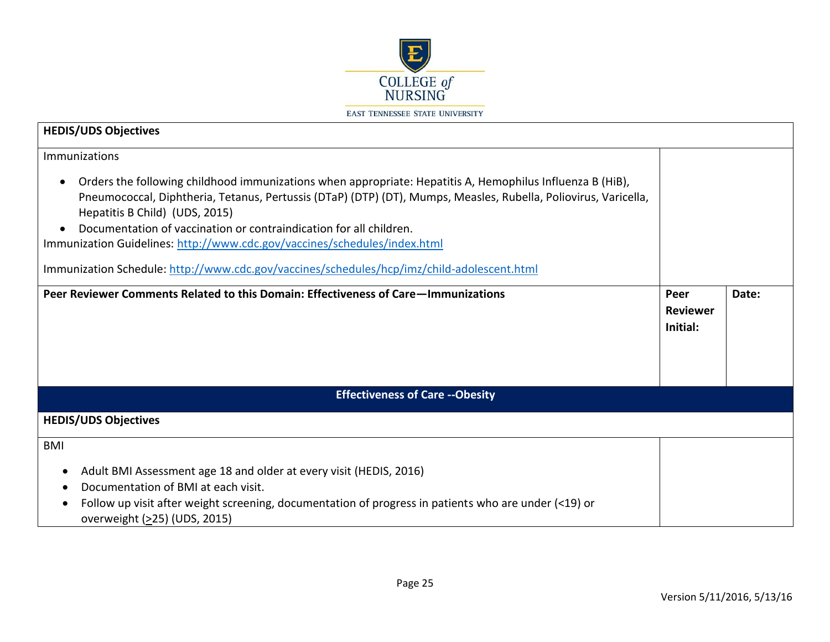

| <b>HEDIS/UDS Objectives</b>                                                                                                                                                                                                                                                                                                                                                                                                                                                                                                                   |                                     |       |
|-----------------------------------------------------------------------------------------------------------------------------------------------------------------------------------------------------------------------------------------------------------------------------------------------------------------------------------------------------------------------------------------------------------------------------------------------------------------------------------------------------------------------------------------------|-------------------------------------|-------|
| Immunizations<br>Orders the following childhood immunizations when appropriate: Hepatitis A, Hemophilus Influenza B (HiB),<br>$\bullet$<br>Pneumococcal, Diphtheria, Tetanus, Pertussis (DTaP) (DTP) (DT), Mumps, Measles, Rubella, Poliovirus, Varicella,<br>Hepatitis B Child) (UDS, 2015)<br>Documentation of vaccination or contraindication for all children.<br>Immunization Guidelines: http://www.cdc.gov/vaccines/schedules/index.html<br>Immunization Schedule: http://www.cdc.gov/vaccines/schedules/hcp/imz/child-adolescent.html |                                     |       |
| Peer Reviewer Comments Related to this Domain: Effectiveness of Care—Immunizations                                                                                                                                                                                                                                                                                                                                                                                                                                                            | Peer<br><b>Reviewer</b><br>Initial: | Date: |
| <b>Effectiveness of Care -- Obesity</b>                                                                                                                                                                                                                                                                                                                                                                                                                                                                                                       |                                     |       |
| <b>HEDIS/UDS Objectives</b>                                                                                                                                                                                                                                                                                                                                                                                                                                                                                                                   |                                     |       |
| <b>BMI</b><br>Adult BMI Assessment age 18 and older at every visit (HEDIS, 2016)<br>$\bullet$<br>Documentation of BMI at each visit.<br>Follow up visit after weight screening, documentation of progress in patients who are under (<19) or<br>c<br>overweight (>25) (UDS, 2015)                                                                                                                                                                                                                                                             |                                     |       |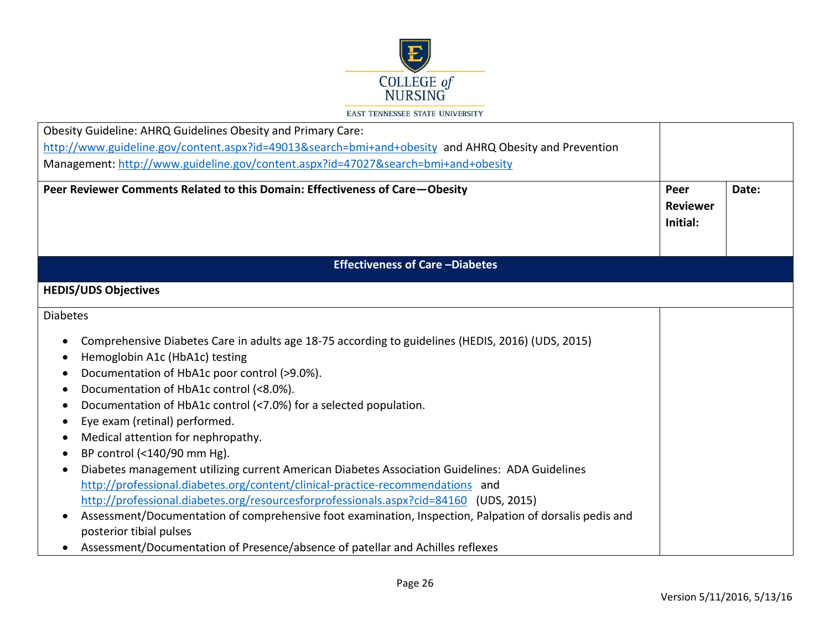

| Obesity Guideline: AHRQ Guidelines Obesity and Primary Care:                                                                                                                                                                                                                                                                                                                                                                                                                                                                                                                                                                                                                                                                                                                                                                                                                                                                                                                                              |                                     |       |
|-----------------------------------------------------------------------------------------------------------------------------------------------------------------------------------------------------------------------------------------------------------------------------------------------------------------------------------------------------------------------------------------------------------------------------------------------------------------------------------------------------------------------------------------------------------------------------------------------------------------------------------------------------------------------------------------------------------------------------------------------------------------------------------------------------------------------------------------------------------------------------------------------------------------------------------------------------------------------------------------------------------|-------------------------------------|-------|
| http://www.guideline.gov/content.aspx?id=49013&search=bmi+and+obesity and AHRQ Obesity and Prevention                                                                                                                                                                                                                                                                                                                                                                                                                                                                                                                                                                                                                                                                                                                                                                                                                                                                                                     |                                     |       |
| Management: http://www.guideline.gov/content.aspx?id=47027&search=bmi+and+obesity                                                                                                                                                                                                                                                                                                                                                                                                                                                                                                                                                                                                                                                                                                                                                                                                                                                                                                                         |                                     |       |
| Peer Reviewer Comments Related to this Domain: Effectiveness of Care-Obesity                                                                                                                                                                                                                                                                                                                                                                                                                                                                                                                                                                                                                                                                                                                                                                                                                                                                                                                              | Peer<br><b>Reviewer</b><br>Initial: | Date: |
| <b>Effectiveness of Care-Diabetes</b>                                                                                                                                                                                                                                                                                                                                                                                                                                                                                                                                                                                                                                                                                                                                                                                                                                                                                                                                                                     |                                     |       |
| <b>HEDIS/UDS Objectives</b>                                                                                                                                                                                                                                                                                                                                                                                                                                                                                                                                                                                                                                                                                                                                                                                                                                                                                                                                                                               |                                     |       |
| <b>Diabetes</b>                                                                                                                                                                                                                                                                                                                                                                                                                                                                                                                                                                                                                                                                                                                                                                                                                                                                                                                                                                                           |                                     |       |
| Comprehensive Diabetes Care in adults age 18-75 according to guidelines (HEDIS, 2016) (UDS, 2015)<br>$\bullet$<br>Hemoglobin A1c (HbA1c) testing<br>$\bullet$<br>Documentation of HbA1c poor control (>9.0%).<br>Documentation of HbA1c control (<8.0%).<br>Documentation of HbA1c control (<7.0%) for a selected population.<br>$\bullet$<br>Eye exam (retinal) performed.<br>Medical attention for nephropathy.<br>$\bullet$<br>BP control (<140/90 mm Hg).<br>$\bullet$<br>Diabetes management utilizing current American Diabetes Association Guidelines: ADA Guidelines<br>$\bullet$<br>http://professional.diabetes.org/content/clinical-practice-recommendations and<br>http://professional.diabetes.org/resourcesforprofessionals.aspx?cid=84160 (UDS, 2015)<br>Assessment/Documentation of comprehensive foot examination, Inspection, Palpation of dorsalis pedis and<br>$\bullet$<br>posterior tibial pulses<br>Assessment/Documentation of Presence/absence of patellar and Achilles reflexes |                                     |       |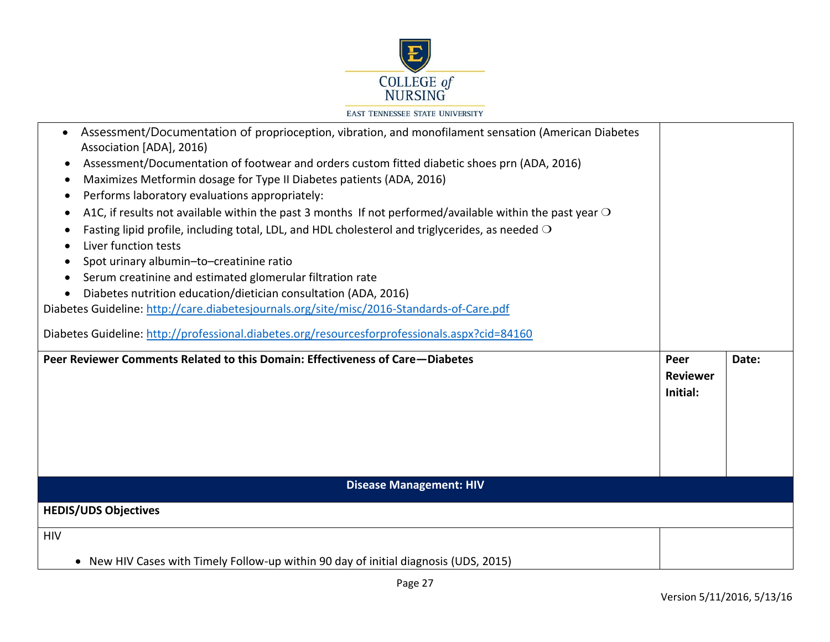

| Assessment/Documentation of proprioception, vibration, and monofilament sensation (American Diabetes<br>$\bullet$<br>Association [ADA], 2016)<br>Assessment/Documentation of footwear and orders custom fitted diabetic shoes prn (ADA, 2016)<br>$\bullet$<br>Maximizes Metformin dosage for Type II Diabetes patients (ADA, 2016)<br>$\bullet$<br>Performs laboratory evaluations appropriately:<br>$\bullet$<br>A1C, if results not available within the past 3 months If not performed/available within the past year $\circ$<br>с<br>Fasting lipid profile, including total, LDL, and HDL cholesterol and triglycerides, as needed $\bigcirc$<br>Liver function tests<br>Spot urinary albumin-to-creatinine ratio<br>Serum creatinine and estimated glomerular filtration rate<br>Diabetes nutrition education/dietician consultation (ADA, 2016)<br>$\bullet$<br>Diabetes Guideline: http://care.diabetesjournals.org/site/misc/2016-Standards-of-Care.pdf<br>Diabetes Guideline: http://professional.diabetes.org/resourcesforprofessionals.aspx?cid=84160<br>Peer Reviewer Comments Related to this Domain: Effectiveness of Care-Diabetes | Peer<br><b>Reviewer</b><br>Initial: | Date: |
|---------------------------------------------------------------------------------------------------------------------------------------------------------------------------------------------------------------------------------------------------------------------------------------------------------------------------------------------------------------------------------------------------------------------------------------------------------------------------------------------------------------------------------------------------------------------------------------------------------------------------------------------------------------------------------------------------------------------------------------------------------------------------------------------------------------------------------------------------------------------------------------------------------------------------------------------------------------------------------------------------------------------------------------------------------------------------------------------------------------------------------------------------|-------------------------------------|-------|
| <b>Disease Management: HIV</b>                                                                                                                                                                                                                                                                                                                                                                                                                                                                                                                                                                                                                                                                                                                                                                                                                                                                                                                                                                                                                                                                                                                    |                                     |       |
| <b>HEDIS/UDS Objectives</b>                                                                                                                                                                                                                                                                                                                                                                                                                                                                                                                                                                                                                                                                                                                                                                                                                                                                                                                                                                                                                                                                                                                       |                                     |       |
| <b>HIV</b>                                                                                                                                                                                                                                                                                                                                                                                                                                                                                                                                                                                                                                                                                                                                                                                                                                                                                                                                                                                                                                                                                                                                        |                                     |       |
| • New HIV Cases with Timely Follow-up within 90 day of initial diagnosis (UDS, 2015)                                                                                                                                                                                                                                                                                                                                                                                                                                                                                                                                                                                                                                                                                                                                                                                                                                                                                                                                                                                                                                                              |                                     |       |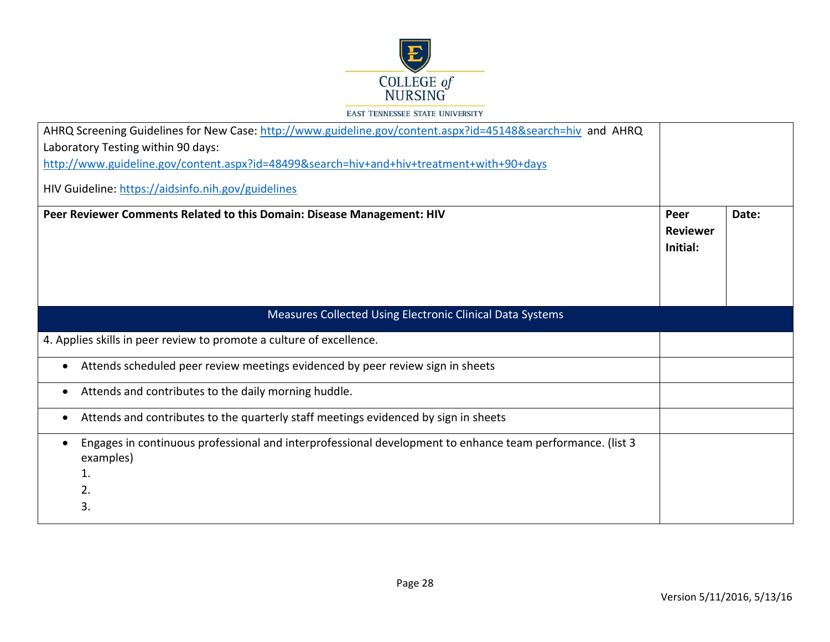

| AHRQ Screening Guidelines for New Case: http://www.guideline.gov/content.aspx?id=45148&search=hiv and AHRQ                                            |                                     |       |
|-------------------------------------------------------------------------------------------------------------------------------------------------------|-------------------------------------|-------|
| Laboratory Testing within 90 days:                                                                                                                    |                                     |       |
| http://www.guideline.gov/content.aspx?id=48499&search=hiv+and+hiv+treatment+with+90+days                                                              |                                     |       |
| HIV Guideline: https://aidsinfo.nih.gov/guidelines                                                                                                    |                                     |       |
| Peer Reviewer Comments Related to this Domain: Disease Management: HIV                                                                                | Peer<br><b>Reviewer</b><br>Initial: | Date: |
| Measures Collected Using Electronic Clinical Data Systems                                                                                             |                                     |       |
| 4. Applies skills in peer review to promote a culture of excellence.                                                                                  |                                     |       |
| Attends scheduled peer review meetings evidenced by peer review sign in sheets<br>$\bullet$                                                           |                                     |       |
| Attends and contributes to the daily morning huddle.<br>$\bullet$                                                                                     |                                     |       |
| Attends and contributes to the quarterly staff meetings evidenced by sign in sheets<br>$\bullet$                                                      |                                     |       |
| Engages in continuous professional and interprofessional development to enhance team performance. (list 3<br>$\bullet$<br>examples)<br>1.<br>2.<br>3. |                                     |       |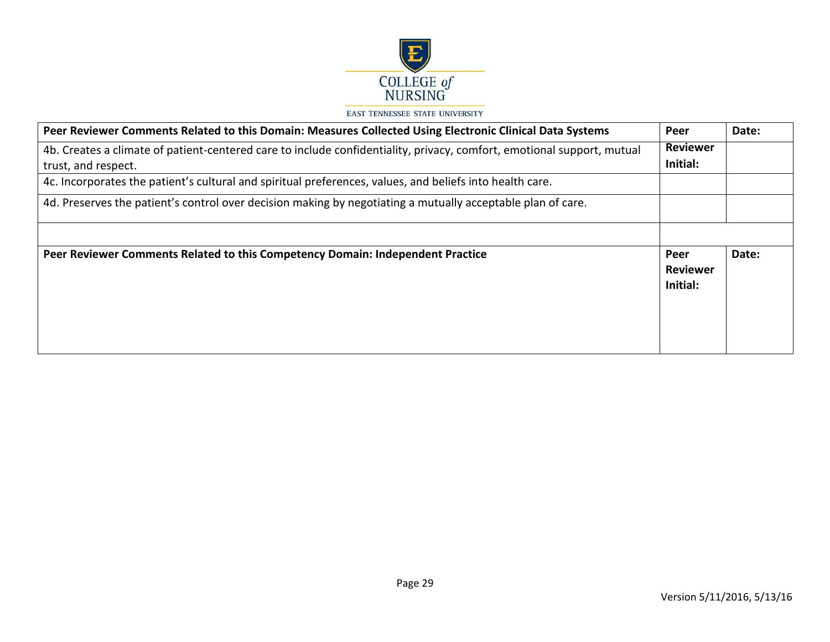

| Peer Reviewer Comments Related to this Domain: Measures Collected Using Electronic Clinical Data Systems               | Peer                                | Date: |
|------------------------------------------------------------------------------------------------------------------------|-------------------------------------|-------|
| 4b. Creates a climate of patient-centered care to include confidentiality, privacy, comfort, emotional support, mutual |                                     |       |
| Initial:<br>trust, and respect.                                                                                        |                                     |       |
| 4c. Incorporates the patient's cultural and spiritual preferences, values, and beliefs into health care.               |                                     |       |
| 4d. Preserves the patient's control over decision making by negotiating a mutually acceptable plan of care.            |                                     |       |
|                                                                                                                        |                                     |       |
| Peer Reviewer Comments Related to this Competency Domain: Independent Practice                                         | Peer<br><b>Reviewer</b><br>Initial: | Date: |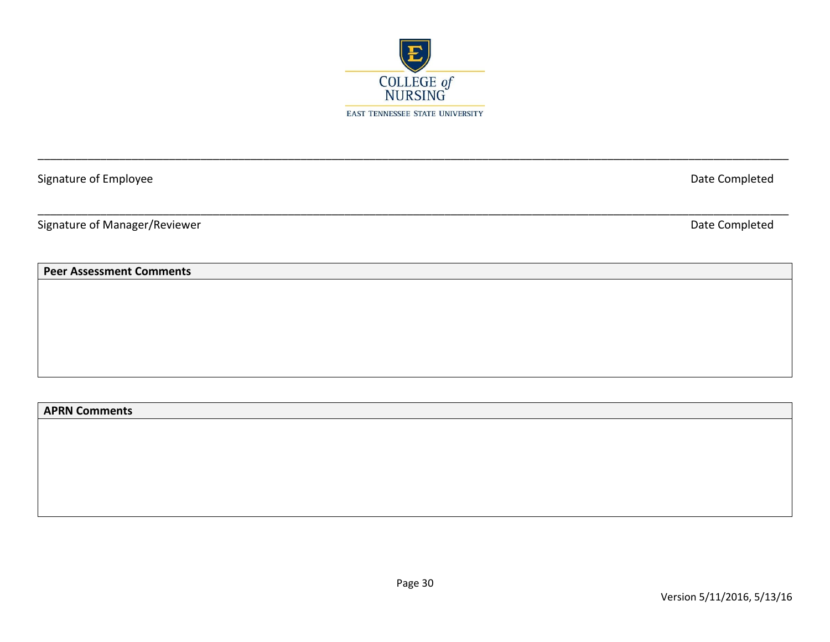

\_\_\_\_\_\_\_\_\_\_\_\_\_\_\_\_\_\_\_\_\_\_\_\_\_\_\_\_\_\_\_\_\_\_\_\_\_\_\_\_\_\_\_\_\_\_\_\_\_\_\_\_\_\_\_\_\_\_\_\_\_\_\_\_\_\_\_\_\_\_\_\_\_\_\_\_\_\_\_\_\_\_\_\_\_\_\_\_\_\_\_\_\_\_\_\_\_\_\_\_\_\_\_\_\_\_\_\_\_\_\_\_\_\_\_\_\_\_\_\_

\_\_\_\_\_\_\_\_\_\_\_\_\_\_\_\_\_\_\_\_\_\_\_\_\_\_\_\_\_\_\_\_\_\_\_\_\_\_\_\_\_\_\_\_\_\_\_\_\_\_\_\_\_\_\_\_\_\_\_\_\_\_\_\_\_\_\_\_\_\_\_\_\_\_\_\_\_\_\_\_\_\_\_\_\_\_\_\_\_\_\_\_\_\_\_\_\_\_\_\_\_\_\_\_\_\_\_\_\_\_\_\_\_\_\_\_\_\_\_\_

Signature of Employee Date Completed

Signature of Manager/Reviewer **Date Completed** 

# **Peer Assessment Comments**

**APRN Comments**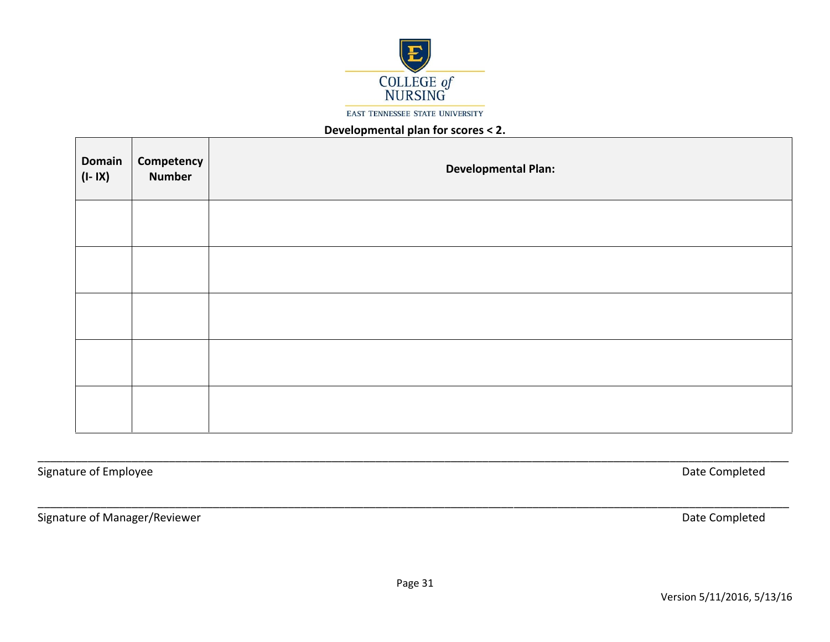

## **Developmental plan for scores < 2.**

| <b>Domain</b><br>$(I-IX)$ | <b>Competency</b><br>Number | <b>Developmental Plan:</b> |
|---------------------------|-----------------------------|----------------------------|
|                           |                             |                            |
|                           |                             |                            |
|                           |                             |                            |
|                           |                             |                            |
|                           |                             |                            |

Signature of Employee Date Completed

Signature of Manager/Reviewer **Date Completed** 

\_\_\_\_\_\_\_\_\_\_\_\_\_\_\_\_\_\_\_\_\_\_\_\_\_\_\_\_\_\_\_\_\_\_\_\_\_\_\_\_\_\_\_\_\_\_\_\_\_\_\_\_\_\_\_\_\_\_\_\_\_\_\_\_\_\_\_\_\_\_\_\_\_\_\_\_\_\_\_\_\_\_\_\_\_\_\_\_\_\_\_\_\_\_\_\_\_\_\_\_\_\_\_\_\_\_\_\_\_\_\_\_\_\_\_\_\_\_\_\_

\_\_\_\_\_\_\_\_\_\_\_\_\_\_\_\_\_\_\_\_\_\_\_\_\_\_\_\_\_\_\_\_\_\_\_\_\_\_\_\_\_\_\_\_\_\_\_\_\_\_\_\_\_\_\_\_\_\_\_\_\_\_\_\_\_\_\_\_\_\_\_\_\_\_\_\_\_\_\_\_\_\_\_\_\_\_\_\_\_\_\_\_\_\_\_\_\_\_\_\_\_\_\_\_\_\_\_\_\_\_\_\_\_\_\_\_\_\_\_\_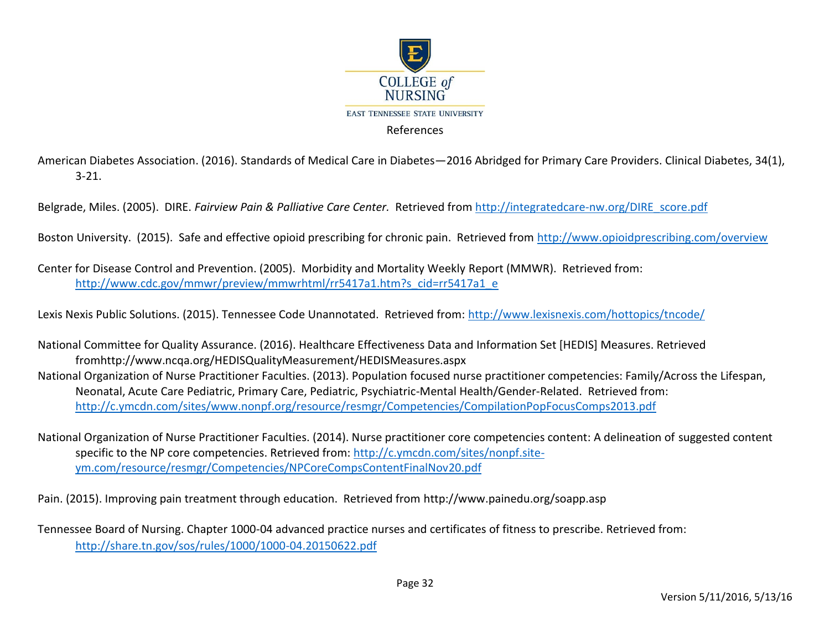

American Diabetes Association. (2016). Standards of Medical Care in Diabetes—2016 Abridged for Primary Care Providers. Clinical Diabetes, 34(1), 3-21.

Belgrade, Miles. (2005). DIRE. *Fairview Pain & Palliative Care Center.* Retrieved from [http://integratedcare-nw.org/DIRE\\_score.pdf](http://integratedcare-nw.org/DIRE_score.pdf)

Boston University. (2015). Safe and effective opioid prescribing for chronic pain. Retrieved from<http://www.opioidprescribing.com/overview>

Center for Disease Control and Prevention. (2005). Morbidity and Mortality Weekly Report (MMWR). Retrieved from: [http://www.cdc.gov/mmwr/preview/mmwrhtml/rr5417a1.htm?s\\_cid=rr5417a1\\_e](http://www.cdc.gov/mmwr/preview/mmwrhtml/rr5417a1.htm?s_cid=rr5417a1_e)

Lexis Nexis Public Solutions. (2015). Tennessee Code Unannotated. Retrieved from:<http://www.lexisnexis.com/hottopics/tncode/>

National Committee for Quality Assurance. (2016). Healthcare Effectiveness Data and Information Set [HEDIS] Measures. Retrieved fromhttp://www.ncqa.org/HEDISQualityMeasurement/HEDISMeasures.aspx National Organization of Nurse Practitioner Faculties. (2013). Population focused nurse practitioner competencies: Family/Across the Lifespan, Neonatal, Acute Care Pediatric, Primary Care, Pediatric, Psychiatric-Mental Health/Gender-Related. Retrieved from: <http://c.ymcdn.com/sites/www.nonpf.org/resource/resmgr/Competencies/CompilationPopFocusComps2013.pdf>

National Organization of Nurse Practitioner Faculties. (2014). Nurse practitioner core competencies content: A delineation of suggested content specific to the NP core competencies. Retrieved from: [http://c.ymcdn.com/sites/nonpf.site](http://c.ymcdn.com/sites/nonpf.site-ym.com/resource/resmgr/Competencies/NPCoreCompsContentFinalNov20.pdf)[ym.com/resource/resmgr/Competencies/NPCoreCompsContentFinalNov20.pdf](http://c.ymcdn.com/sites/nonpf.site-ym.com/resource/resmgr/Competencies/NPCoreCompsContentFinalNov20.pdf) 

Pain. (2015). Improving pain treatment through education. Retrieved from http://www.painedu.org/soapp.asp

Tennessee Board of Nursing. Chapter 1000-04 advanced practice nurses and certificates of fitness to prescribe. Retrieved from: <http://share.tn.gov/sos/rules/1000/1000-04.20150622.pdf>